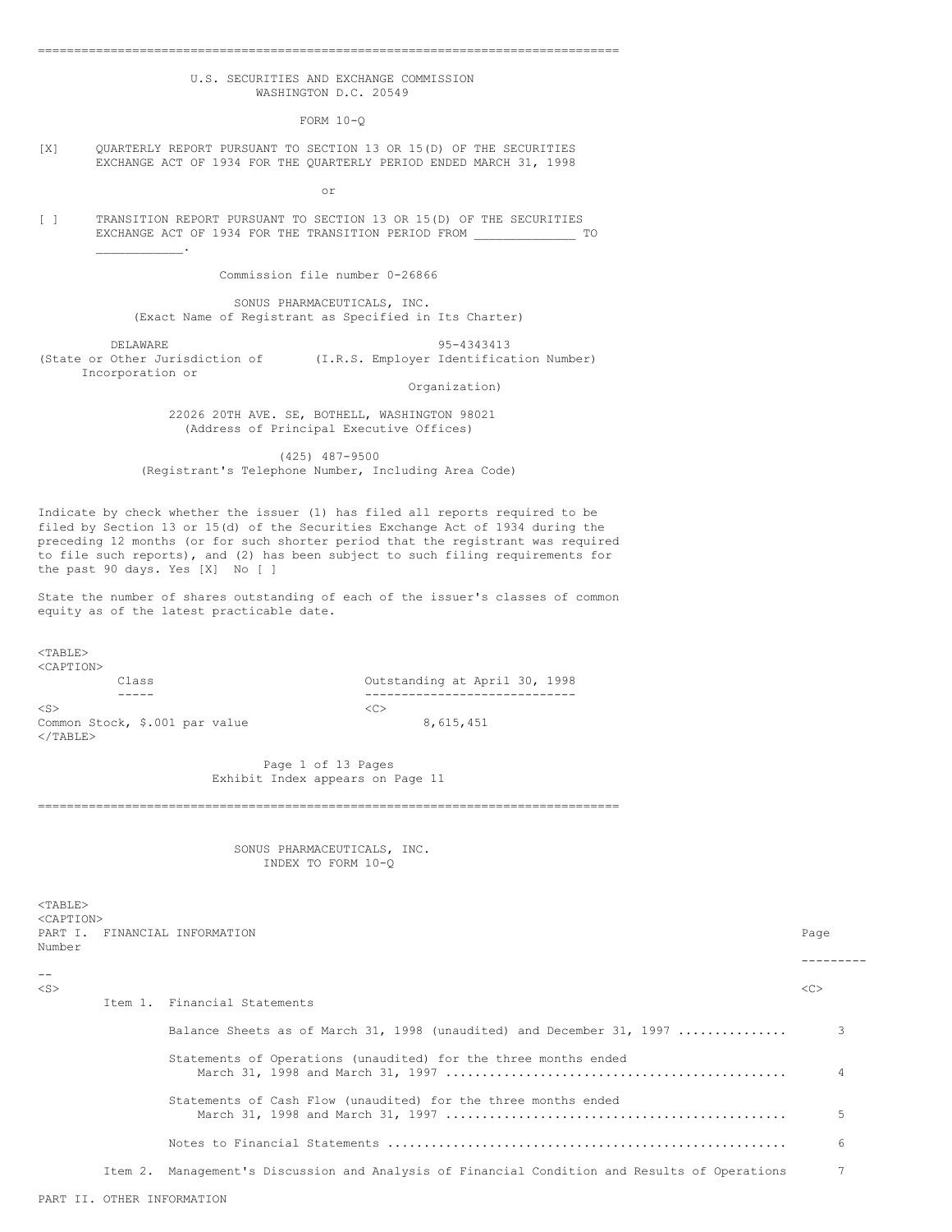# U.S. SECURITIES AND EXCHANGE COMMISSION WASHINGTON D.C. 20549

================================================================================

FORM 10-Q

[X] QUARTERLY REPORT PURSUANT TO SECTION 13 OR 15(D) OF THE SECURITIES EXCHANGE ACT OF 1934 FOR THE QUARTERLY PERIOD ENDED MARCH 31, 1998

or

[ ] TRANSITION REPORT PURSUANT TO SECTION 13 OR 15(D) OF THE SECURITIES EXCHANGE ACT OF 1934 FOR THE TRANSITION PERIOD FROM \_\_\_\_\_\_\_\_\_\_\_\_\_\_ TO  $\mathcal{L}_\text{max}$  and  $\mathcal{L}_\text{max}$ 

Commission file number 0-26866

SONUS PHARMACEUTICALS, INC. (Exact Name of Registrant as Specified in Its Charter)

DELAWARE 95-4343413 (State or Other Jurisdiction of (I.R.S. Employer Identification Number) Incorporation or

Organization)

22026 20TH AVE. SE, BOTHELL, WASHINGTON 98021 (Address of Principal Executive Offices)

(425) 487-9500 (Registrant's Telephone Number, Including Area Code)

Indicate by check whether the issuer (1) has filed all reports required to be filed by Section 13 or 15(d) of the Securities Exchange Act of 1934 during the preceding 12 months (or for such shorter period that the registrant was required to file such reports), and (2) has been subject to such filing requirements for the past 90 days. Yes [X] No [ ]

State the number of shares outstanding of each of the issuer's classes of common equity as of the latest practicable date.

<TABLE> <CAPTION>

 $<$ TABLE>

 $\langle$ S>  $\langle$ C> Common Stock,  $$.001$  par value 8,615,451  $\langle$ /TABLE>

Class Outstanding at April 30, 1998 ----- -----------------------------

> Page 1 of 13 Pages Exhibit Index appears on Page 11

SONUS PHARMACEUTICALS, INC. INDEX TO FORM 10-Q

================================================================================

| <caption><br/>Number</caption> |         | PART I. FINANCIAL INFORMATION                                                         | Page |  |
|--------------------------------|---------|---------------------------------------------------------------------------------------|------|--|
|                                |         |                                                                                       |      |  |
| $- -$<br>$<$ S $>$             |         | Item 1. Financial Statements                                                          | <<   |  |
|                                |         |                                                                                       |      |  |
|                                |         | Balance Sheets as of March 31, 1998 (unaudited) and December 31, 1997                 |      |  |
|                                |         | Statements of Operations (unaudited) for the three months ended                       |      |  |
|                                |         | Statements of Cash Flow (unaudited) for the three months ended                        |      |  |
|                                |         |                                                                                       | 6    |  |
|                                | Item 2. | Management's Discussion and Analysis of Financial Condition and Results of Operations |      |  |
|                                |         |                                                                                       |      |  |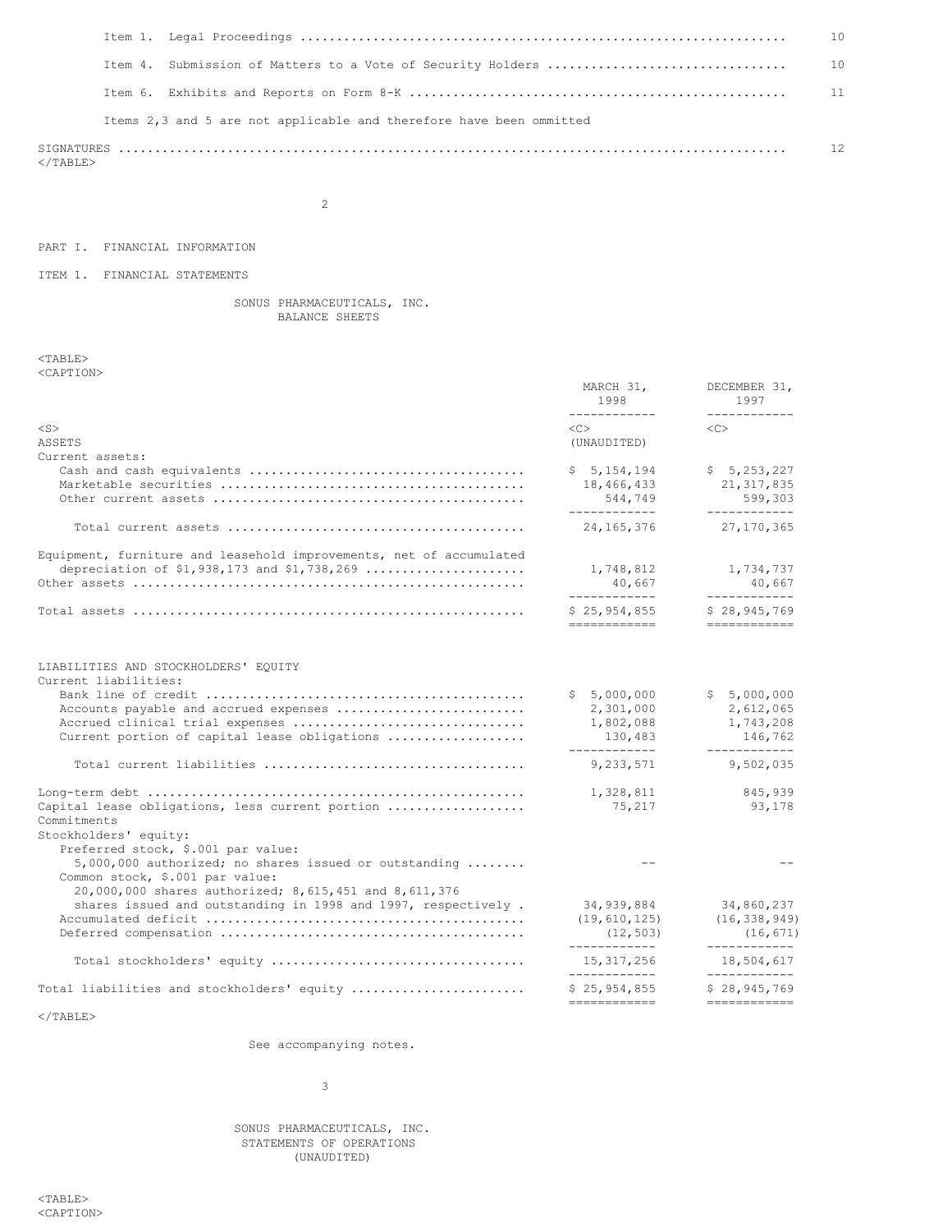|  |                                                                     | 10 |
|--|---------------------------------------------------------------------|----|
|  |                                                                     |    |
|  |                                                                     |    |
|  | Items 2,3 and 5 are not applicable and therefore have been ommitted |    |
|  |                                                                     | 12 |

 $\rm <$  /TABLE>

2

# PART I. FINANCIAL INFORMATION

ITEM 1. FINANCIAL STATEMENTS

# SONUS PHARMACEUTICALS, INC. BALANCE SHEETS

<TABLE> <CAPTION>

|                                                                                                                                                                                          | MARCH 31,<br>1998<br>____________                                 | DECEMBER 31,<br>1997<br>------------                             |
|------------------------------------------------------------------------------------------------------------------------------------------------------------------------------------------|-------------------------------------------------------------------|------------------------------------------------------------------|
| $<$ S $>$                                                                                                                                                                                | $\langle C \rangle$                                               | $\langle$ C $>$                                                  |
| <b>ASSETS</b>                                                                                                                                                                            | (UNAUDITED)                                                       |                                                                  |
| Current assets:                                                                                                                                                                          |                                                                   |                                                                  |
|                                                                                                                                                                                          | \$5,154,194<br>18,466,433<br>544,749<br>-------------             | \$5, 253, 227<br>21, 317, 835<br>599,303<br>____________         |
|                                                                                                                                                                                          | 24, 165, 376                                                      | 27, 170, 365                                                     |
| Equipment, furniture and leasehold improvements, net of accumulated                                                                                                                      | 1,748,812<br>40,667<br>____________                               | 1,734,737<br>40,667<br>____________                              |
|                                                                                                                                                                                          | \$25,954,855<br>------------                                      | \$28,945,769<br>============                                     |
| LIABILITIES AND STOCKHOLDERS' EQUITY<br>Current liabilities:<br>Accounts payable and accrued expenses<br>Accrued clinical trial expenses<br>Current portion of capital lease obligations | \$5,000,000<br>2,301,000<br>1,802,088<br>130,483<br>------------- | \$5,000,000<br>2,612,065<br>1,743,208<br>146,762<br>------------ |
|                                                                                                                                                                                          | 9,233,571                                                         | 9,502,035                                                        |
| Capital lease obligations, less current portion<br>Commitments<br>Stockholders' equity:                                                                                                  | 1,328,811<br>75,217                                               | 845,939<br>93,178                                                |
| Preferred stock, \$.001 par value:<br>$5,000,000$ authorized; no shares issued or outstanding<br>Common stock, \$.001 par value:                                                         | $ -$                                                              |                                                                  |
| 20,000,000 shares authorized; 8,615,451 and 8,611,376<br>shares issued and outstanding in 1998 and 1997, respectively.                                                                   | 34,939,884<br>(19, 610, 125)<br>(12, 503)<br>------------         | 34,860,237<br>(16, 338, 949)<br>(16, 671)<br>____________        |
|                                                                                                                                                                                          | 15, 317, 256<br>____________                                      | 18,504,617<br>____________                                       |
| Total liabilities and stockholders' equity                                                                                                                                               | \$25,954,855<br>============                                      | \$28,945,769<br>============                                     |
|                                                                                                                                                                                          |                                                                   |                                                                  |

 $<$ /TABLE>

See accompanying notes.

3

SONUS PHARMACEUTICALS, INC. STATEMENTS OF OPERATIONS (UNAUDITED)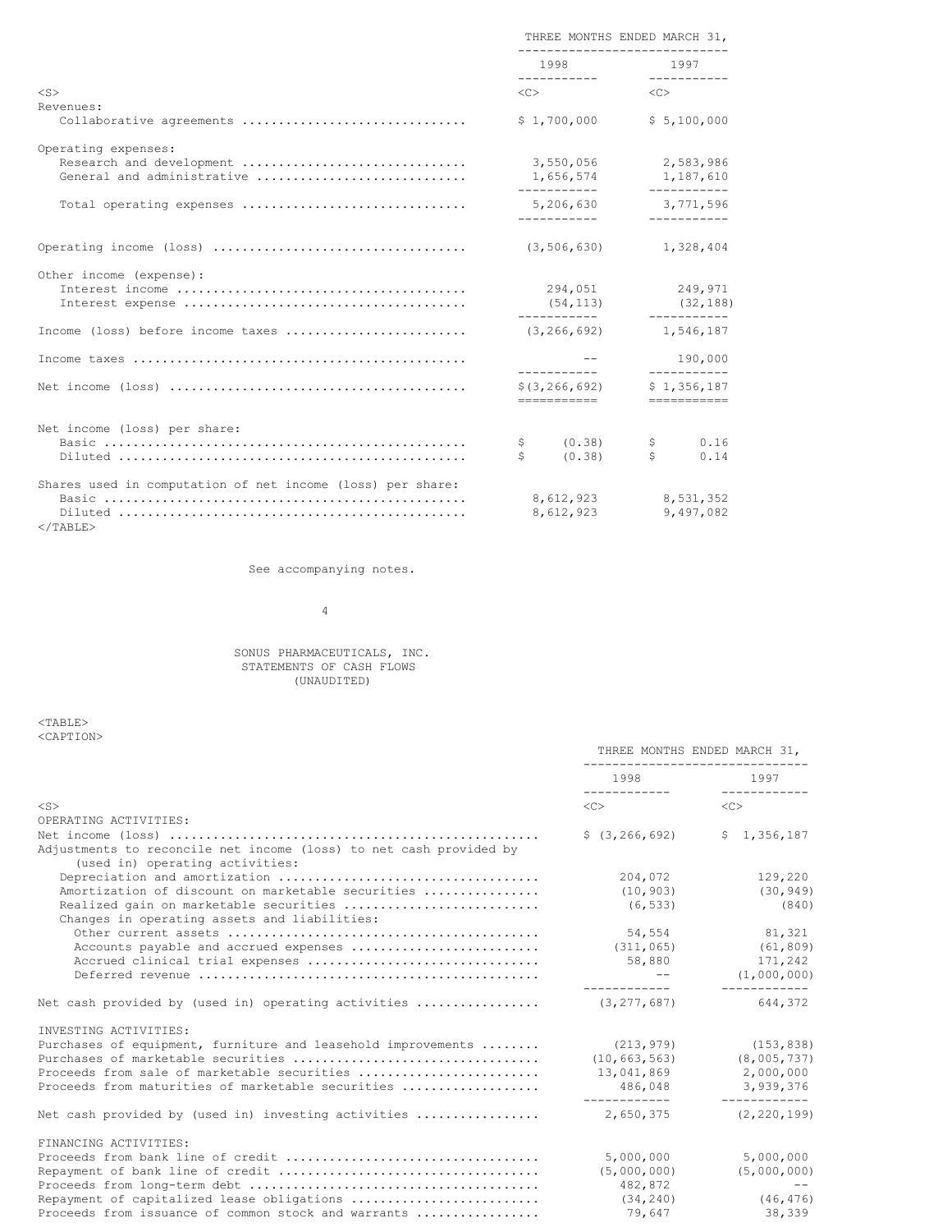|                                                            |    | THREE MONTHS ENDED MARCH 31,<br>-------------------                                                                 |                     |                          |
|------------------------------------------------------------|----|---------------------------------------------------------------------------------------------------------------------|---------------------|--------------------------|
|                                                            |    | 1998 — 1998 — 1998 — 1998 — 1998 — 1998 — 1998 — 1998 — 1998 — 1998 — 1998 — 1998 — 1998 — 1999 — 1999 — 1999 — 199 |                     | 1997                     |
| $<$ S>                                                     |    | $\langle C \rangle$                                                                                                 | $\langle C \rangle$ |                          |
| Revenues:                                                  |    |                                                                                                                     |                     |                          |
| Collaborative agreements                                   |    | \$1,700,000                                                                                                         |                     | \$5,100,000              |
| Operating expenses:                                        |    |                                                                                                                     |                     |                          |
| Research and development                                   |    | 3,550,056                                                                                                           |                     | 2,583,986                |
| General and administrative                                 |    | 1,656,574                                                                                                           |                     | 1,187,610<br>----------- |
| Total operating expenses                                   |    | ------------<br>5,206,630                                                                                           |                     | 3,771,596                |
|                                                            |    | ------------                                                                                                        |                     | -----------              |
|                                                            |    | (3, 506, 630)                                                                                                       |                     | 1,328,404                |
| Other income (expense):                                    |    |                                                                                                                     |                     |                          |
|                                                            |    | 294,051                                                                                                             |                     | 249,971                  |
|                                                            |    | $(54, 113)$ $(32, 188)$<br>____________                                                                             |                     | ___________              |
| Income (loss) before income taxes                          |    | (3, 266, 692)                                                                                                       |                     | 1,546,187                |
|                                                            |    |                                                                                                                     |                     |                          |
|                                                            |    | ------------                                                                                                        |                     | 190,000<br>-----------   |
|                                                            |    | \$(3, 266, 692)                                                                                                     |                     | \$1,356,187              |
|                                                            |    | -----------                                                                                                         |                     | ===========              |
| Net income (loss) per share:                               |    |                                                                                                                     |                     |                          |
|                                                            | \$ | (0.38)                                                                                                              | \$                  | 0.16                     |
|                                                            | Ŝ  | (0.38)                                                                                                              | Ś                   | 0.14                     |
| Shares used in computation of net income (loss) per share: |    |                                                                                                                     |                     |                          |
|                                                            |    | 8,612,923                                                                                                           |                     | 8.531.352                |
|                                                            |    | 8,612,923                                                                                                           |                     | 9,497,082                |

 $<$ /TABLE $>$ 

See accompanying notes.

4

#### SONUS PHARMACEUTICALS, INC. STATEMENTS OF CASH FLOWS (UNAUDITED)

<TABLE> <CAPTION>

|                                                                                                       | ---------------------------                                                                                                                                                                                                     | THREE MONTHS ENDED MARCH 31, |
|-------------------------------------------------------------------------------------------------------|---------------------------------------------------------------------------------------------------------------------------------------------------------------------------------------------------------------------------------|------------------------------|
|                                                                                                       | 1998 — 1998 — 1998 — 1998 — 1998 — 1998 — 1998 — 1998 — 1998 — 1998 — 1998 — 1998 — 1998 — 1999 — 1999 — 1999 — 1999 — 1999 — 1999 — 1999 — 1999 — 1999 — 1999 — 1999 — 1999 — 1999 — 1999 — 1999 — 1999 — 1999 — 1999 — 1999 — | 1997                         |
| $<$ S $>$                                                                                             | $\langle C \rangle$                                                                                                                                                                                                             | $\langle C \rangle$          |
| OPERATING ACTIVITIES:                                                                                 |                                                                                                                                                                                                                                 |                              |
| Adjustments to reconcile net income (loss) to net cash provided by<br>(used in) operating activities: | \$(3, 266, 692)                                                                                                                                                                                                                 | \$1,356,187                  |
|                                                                                                       | 204,072                                                                                                                                                                                                                         | 129,220                      |
| Amortization of discount on marketable securities                                                     | (10, 903)                                                                                                                                                                                                                       | (30, 949)                    |
| Realized gain on marketable securities<br>Changes in operating assets and liabilities:                | (6, 533)                                                                                                                                                                                                                        | (840)                        |
|                                                                                                       | 54,554                                                                                                                                                                                                                          | 81,321                       |
| Accounts payable and accrued expenses                                                                 |                                                                                                                                                                                                                                 | $(311, 065)$ $(61, 809)$     |
|                                                                                                       | 58,880                                                                                                                                                                                                                          | 171,242                      |
|                                                                                                       | ____________                                                                                                                                                                                                                    | (1,000,000)<br>------------  |
| Net cash provided by (used in) operating activities                                                   | (3, 277, 687)                                                                                                                                                                                                                   | 644.372                      |
| INVESTING ACTIVITIES:                                                                                 |                                                                                                                                                                                                                                 |                              |
| Purchases of equipment, furniture and leasehold improvements                                          | (213, 979)                                                                                                                                                                                                                      | (153, 838)                   |
|                                                                                                       | (10, 663, 563)                                                                                                                                                                                                                  | (8,005,737)                  |
| Proceeds from sale of marketable securities                                                           | 13,041,869                                                                                                                                                                                                                      | 2,000,000                    |
| Proceeds from maturities of marketable securities                                                     | 486,048                                                                                                                                                                                                                         | 3,939,376                    |
| Net cash provided by (used in) investing activities                                                   | 2,650,375                                                                                                                                                                                                                       | (2, 220, 199)                |
| FINANCING ACTIVITIES:                                                                                 |                                                                                                                                                                                                                                 |                              |
|                                                                                                       | 5,000,000                                                                                                                                                                                                                       | 5,000,000                    |
|                                                                                                       | (5,000,000)                                                                                                                                                                                                                     | (5,000,000)                  |
|                                                                                                       | 482,872                                                                                                                                                                                                                         | $- -$                        |
| Repayment of capitalized lease obligations                                                            | (34, 240)                                                                                                                                                                                                                       | (46, 476)                    |
| Proceeds from issuance of common stock and warrants                                                   | 79,647                                                                                                                                                                                                                          | 38,339                       |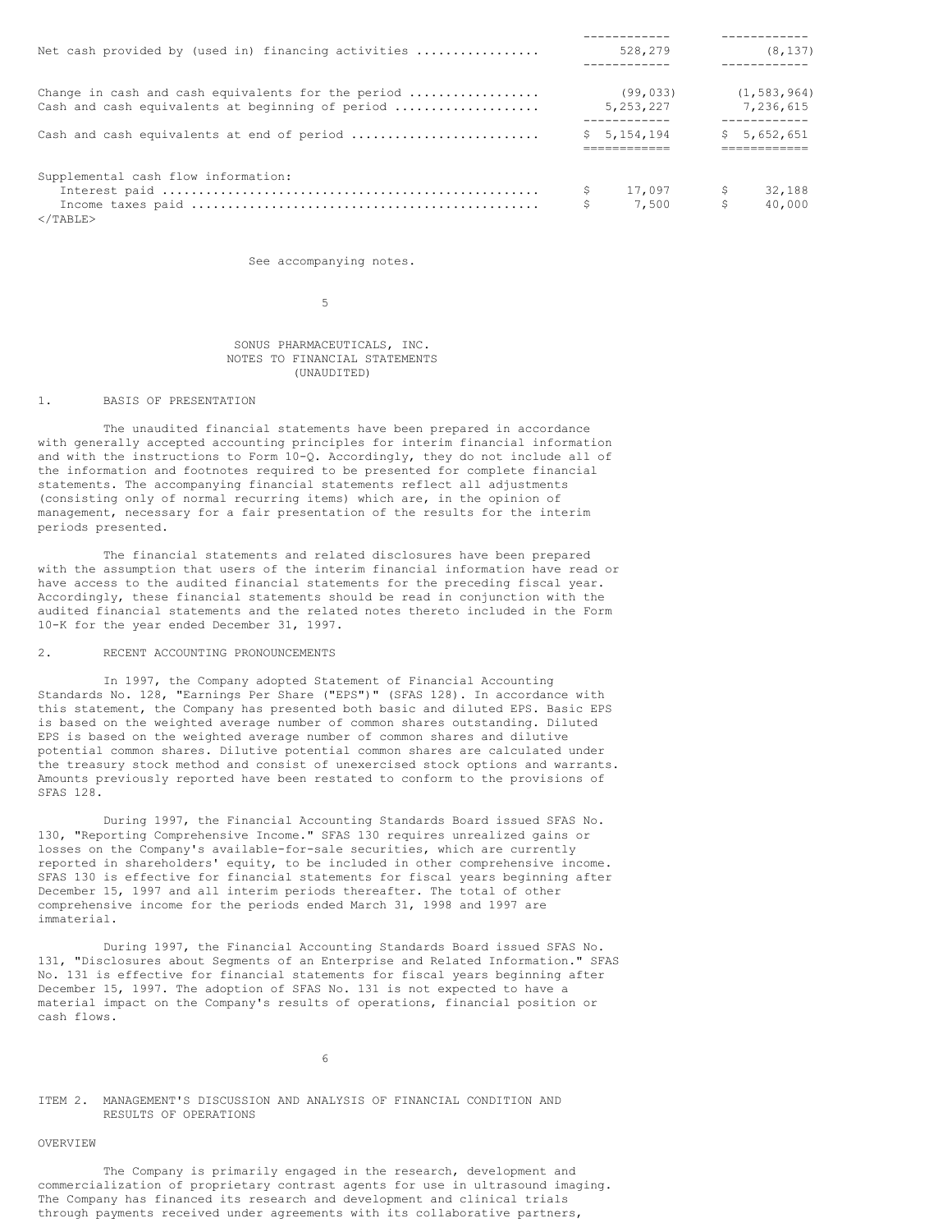| Net cash provided by (used in) financing activities |    | 528,279                       | (8, 137)                    |
|-----------------------------------------------------|----|-------------------------------|-----------------------------|
|                                                     |    |                               |                             |
| Change in cash and cash equivalents for the period  |    | (99, 033)                     | (1, 583, 964)               |
| Cash and cash equivalents at beginning of period    |    | 5, 253, 227                   | 7.236.615                   |
| Cash and cash equivalents at end of period          |    | ------------<br>\$5, 154, 194 | ------------<br>\$5,652,651 |
|                                                     |    |                               |                             |
| Supplemental cash flow information:                 |    |                               |                             |
|                                                     | Ş. | $17,097$ \$                   | 32,188                      |
|                                                     | \$ | 7,500                         | \$<br>40,000                |
| $<$ /TABLE>                                         |    |                               |                             |

See accompanying notes.

5

#### SONUS PHARMACEUTICALS, INC. NOTES TO FINANCIAL STATEMENTS (UNAUDITED)

# 1. BASIS OF PRESENTATION

The unaudited financial statements have been prepared in accordance with generally accepted accounting principles for interim financial information and with the instructions to Form 10-Q. Accordingly, they do not include all of the information and footnotes required to be presented for complete financial statements. The accompanying financial statements reflect all adjustments (consisting only of normal recurring items) which are, in the opinion of management, necessary for a fair presentation of the results for the interim periods presented.

The financial statements and related disclosures have been prepared with the assumption that users of the interim financial information have read or have access to the audited financial statements for the preceding fiscal year. Accordingly, these financial statements should be read in conjunction with the audited financial statements and the related notes thereto included in the Form 10-K for the year ended December 31, 1997.

#### 2. RECENT ACCOUNTING PRONOUNCEMENTS

In 1997, the Company adopted Statement of Financial Accounting Standards No. 128, "Earnings Per Share ("EPS")" (SFAS 128). In accordance with this statement, the Company has presented both basic and diluted EPS. Basic EPS is based on the weighted average number of common shares outstanding. Diluted EPS is based on the weighted average number of common shares and dilutive potential common shares. Dilutive potential common shares are calculated under the treasury stock method and consist of unexercised stock options and warrants. Amounts previously reported have been restated to conform to the provisions of SFAS 128.

During 1997, the Financial Accounting Standards Board issued SFAS No. 130, "Reporting Comprehensive Income." SFAS 130 requires unrealized gains or losses on the Company's available-for-sale securities, which are currently reported in shareholders' equity, to be included in other comprehensive income. SFAS 130 is effective for financial statements for fiscal years beginning after December 15, 1997 and all interim periods thereafter. The total of other comprehensive income for the periods ended March 31, 1998 and 1997 are immaterial.

During 1997, the Financial Accounting Standards Board issued SFAS No. 131, "Disclosures about Segments of an Enterprise and Related Information." SFAS No. 131 is effective for financial statements for fiscal years beginning after December 15, 1997. The adoption of SFAS No. 131 is not expected to have a material impact on the Company's results of operations, financial position or cash flows.

6

ITEM 2. MANAGEMENT'S DISCUSSION AND ANALYSIS OF FINANCIAL CONDITION AND RESULTS OF OPERATIONS

### OVERVIEW

The Company is primarily engaged in the research, development and commercialization of proprietary contrast agents for use in ultrasound imaging. The Company has financed its research and development and clinical trials through payments received under agreements with its collaborative partners,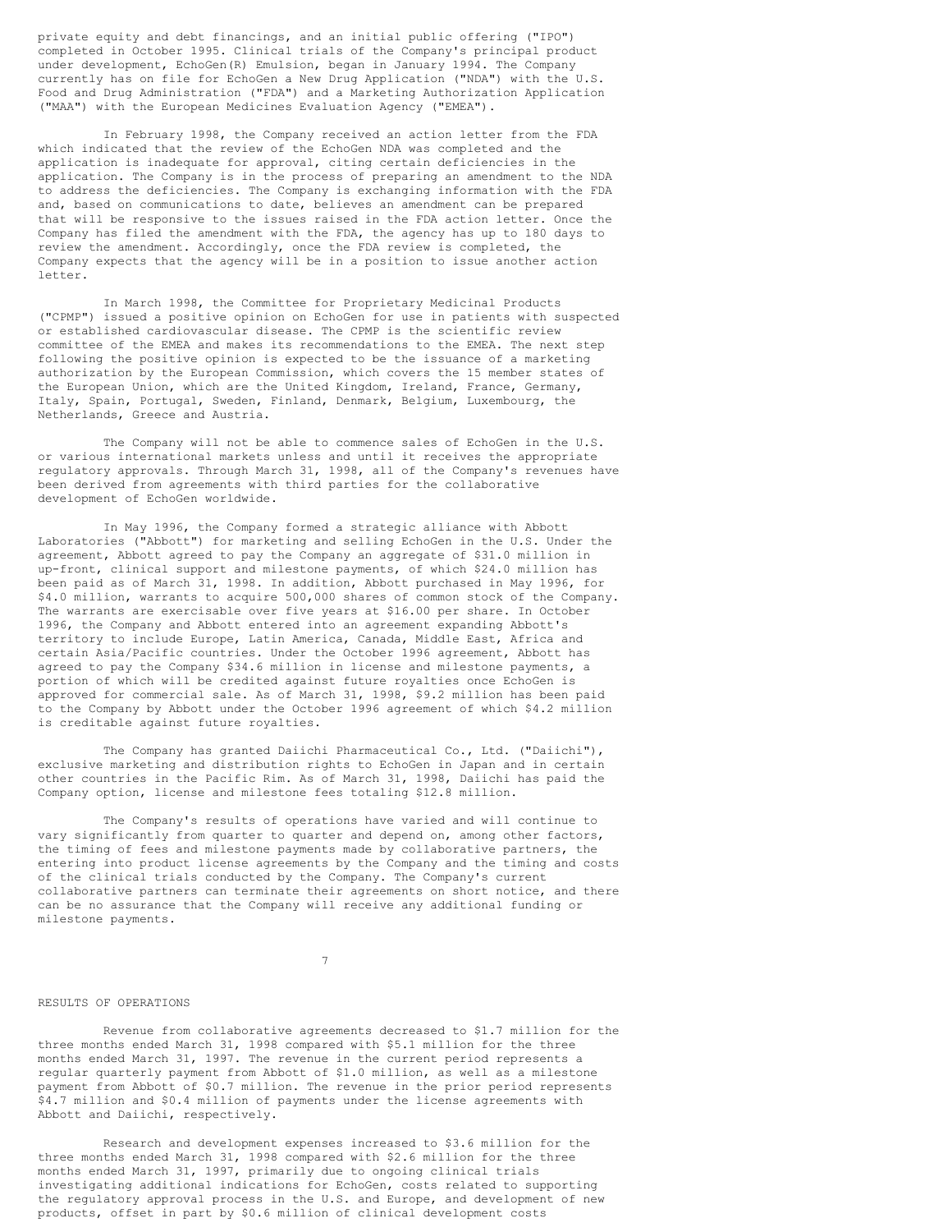private equity and debt financings, and an initial public offering ("IPO") completed in October 1995. Clinical trials of the Company's principal product under development, EchoGen(R) Emulsion, began in January 1994. The Company currently has on file for EchoGen a New Drug Application ("NDA") with the U.S. Food and Drug Administration ("FDA") and a Marketing Authorization Application ("MAA") with the European Medicines Evaluation Agency ("EMEA").

In February 1998, the Company received an action letter from the FDA which indicated that the review of the EchoGen NDA was completed and the application is inadequate for approval, citing certain deficiencies in the application. The Company is in the process of preparing an amendment to the NDA to address the deficiencies. The Company is exchanging information with the FDA and, based on communications to date, believes an amendment can be prepared that will be responsive to the issues raised in the FDA action letter. Once the Company has filed the amendment with the FDA, the agency has up to 180 days to review the amendment. Accordingly, once the FDA review is completed, the Company expects that the agency will be in a position to issue another action letter.

In March 1998, the Committee for Proprietary Medicinal Products ("CPMP") issued a positive opinion on EchoGen for use in patients with suspected or established cardiovascular disease. The CPMP is the scientific review committee of the EMEA and makes its recommendations to the EMEA. The next step following the positive opinion is expected to be the issuance of a marketing authorization by the European Commission, which covers the 15 member states of the European Union, which are the United Kingdom, Ireland, France, Germany, Italy, Spain, Portugal, Sweden, Finland, Denmark, Belgium, Luxembourg, the Netherlands, Greece and Austria.

The Company will not be able to commence sales of EchoGen in the U.S. or various international markets unless and until it receives the appropriate regulatory approvals. Through March 31, 1998, all of the Company's revenues have been derived from agreements with third parties for the collaborative development of EchoGen worldwide.

In May 1996, the Company formed a strategic alliance with Abbott Laboratories ("Abbott") for marketing and selling EchoGen in the U.S. Under the agreement, Abbott agreed to pay the Company an aggregate of \$31.0 million in up-front, clinical support and milestone payments, of which \$24.0 million has been paid as of March 31, 1998. In addition, Abbott purchased in May 1996, for \$4.0 million, warrants to acquire 500,000 shares of common stock of the Company. The warrants are exercisable over five years at \$16.00 per share. In October 1996, the Company and Abbott entered into an agreement expanding Abbott's territory to include Europe, Latin America, Canada, Middle East, Africa and certain Asia/Pacific countries. Under the October 1996 agreement, Abbott has agreed to pay the Company \$34.6 million in license and milestone payments, a portion of which will be credited against future royalties once EchoGen is approved for commercial sale. As of March 31, 1998, \$9.2 million has been paid to the Company by Abbott under the October 1996 agreement of which \$4.2 million is creditable against future royalties.

The Company has granted Daiichi Pharmaceutical Co., Ltd. ("Daiichi"), exclusive marketing and distribution rights to EchoGen in Japan and in certain other countries in the Pacific Rim. As of March 31, 1998, Daiichi has paid the Company option, license and milestone fees totaling \$12.8 million.

The Company's results of operations have varied and will continue to vary significantly from quarter to quarter and depend on, among other factors, the timing of fees and milestone payments made by collaborative partners, the entering into product license agreements by the Company and the timing and costs of the clinical trials conducted by the Company. The Company's current collaborative partners can terminate their agreements on short notice, and there can be no assurance that the Company will receive any additional funding or milestone payments.

7

# RESULTS OF OPERATIONS

Revenue from collaborative agreements decreased to \$1.7 million for the three months ended March 31, 1998 compared with \$5.1 million for the three months ended March 31, 1997. The revenue in the current period represents a regular quarterly payment from Abbott of \$1.0 million, as well as a milestone payment from Abbott of \$0.7 million. The revenue in the prior period represents \$4.7 million and \$0.4 million of payments under the license agreements with Abbott and Daiichi, respectively.

Research and development expenses increased to \$3.6 million for the three months ended March 31, 1998 compared with \$2.6 million for the three months ended March 31, 1997, primarily due to ongoing clinical trials investigating additional indications for EchoGen, costs related to supporting the regulatory approval process in the U.S. and Europe, and development of new products, offset in part by \$0.6 million of clinical development costs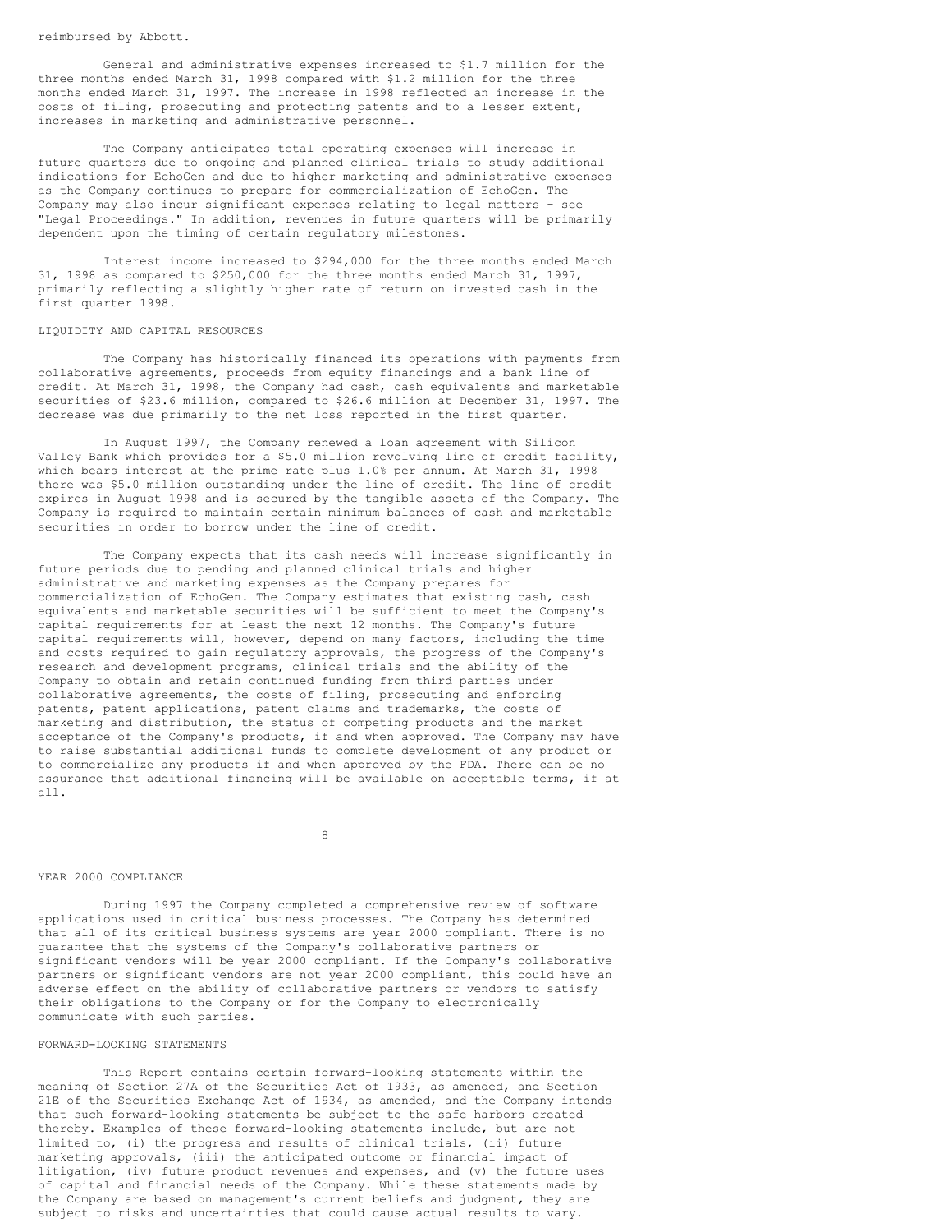reimbursed by Abbott.

General and administrative expenses increased to \$1.7 million for the three months ended March 31, 1998 compared with \$1.2 million for the three months ended March 31, 1997. The increase in 1998 reflected an increase in the costs of filing, prosecuting and protecting patents and to a lesser extent, increases in marketing and administrative personnel.

The Company anticipates total operating expenses will increase in future quarters due to ongoing and planned clinical trials to study additional indications for EchoGen and due to higher marketing and administrative expenses as the Company continues to prepare for commercialization of EchoGen. The Company may also incur significant expenses relating to legal matters - see "Legal Proceedings." In addition, revenues in future quarters will be primarily dependent upon the timing of certain regulatory milestones.

Interest income increased to \$294,000 for the three months ended March 31, 1998 as compared to \$250,000 for the three months ended March 31, 1997, primarily reflecting a slightly higher rate of return on invested cash in the first quarter 1998.

#### LIQUIDITY AND CAPITAL RESOURCES

The Company has historically financed its operations with payments from collaborative agreements, proceeds from equity financings and a bank line of credit. At March 31, 1998, the Company had cash, cash equivalents and marketable securities of \$23.6 million, compared to \$26.6 million at December 31, 1997. The decrease was due primarily to the net loss reported in the first quarter.

In August 1997, the Company renewed a loan agreement with Silicon Valley Bank which provides for a \$5.0 million revolving line of credit facility, which bears interest at the prime rate plus 1.0% per annum. At March 31, 1998 there was \$5.0 million outstanding under the line of credit. The line of credit expires in August 1998 and is secured by the tangible assets of the Company. The Company is required to maintain certain minimum balances of cash and marketable securities in order to borrow under the line of credit.

The Company expects that its cash needs will increase significantly in future periods due to pending and planned clinical trials and higher administrative and marketing expenses as the Company prepares for commercialization of EchoGen. The Company estimates that existing cash, cash equivalents and marketable securities will be sufficient to meet the Company's capital requirements for at least the next 12 months. The Company's future capital requirements will, however, depend on many factors, including the time and costs required to gain regulatory approvals, the progress of the Company's research and development programs, clinical trials and the ability of the Company to obtain and retain continued funding from third parties under collaborative agreements, the costs of filing, prosecuting and enforcing patents, patent applications, patent claims and trademarks, the costs of marketing and distribution, the status of competing products and the market acceptance of the Company's products, if and when approved. The Company may have to raise substantial additional funds to complete development of any product or to commercialize any products if and when approved by the FDA. There can be no assurance that additional financing will be available on acceptable terms, if at all.

8

## YEAR 2000 COMPLIANCE

During 1997 the Company completed a comprehensive review of software applications used in critical business processes. The Company has determined that all of its critical business systems are year 2000 compliant. There is no guarantee that the systems of the Company's collaborative partners or significant vendors will be year 2000 compliant. If the Company's collaborative partners or significant vendors are not year 2000 compliant, this could have an adverse effect on the ability of collaborative partners or vendors to satisfy their obligations to the Company or for the Company to electronically communicate with such parties.

#### FORWARD-LOOKING STATEMENTS

This Report contains certain forward-looking statements within the meaning of Section 27A of the Securities Act of 1933, as amended, and Section 21E of the Securities Exchange Act of 1934, as amended, and the Company intends that such forward-looking statements be subject to the safe harbors created thereby. Examples of these forward-looking statements include, but are not limited to, (i) the progress and results of clinical trials, (ii) future marketing approvals, (iii) the anticipated outcome or financial impact of litigation, (iv) future product revenues and expenses, and (v) the future uses of capital and financial needs of the Company. While these statements made by the Company are based on management's current beliefs and judgment, they are subject to risks and uncertainties that could cause actual results to vary.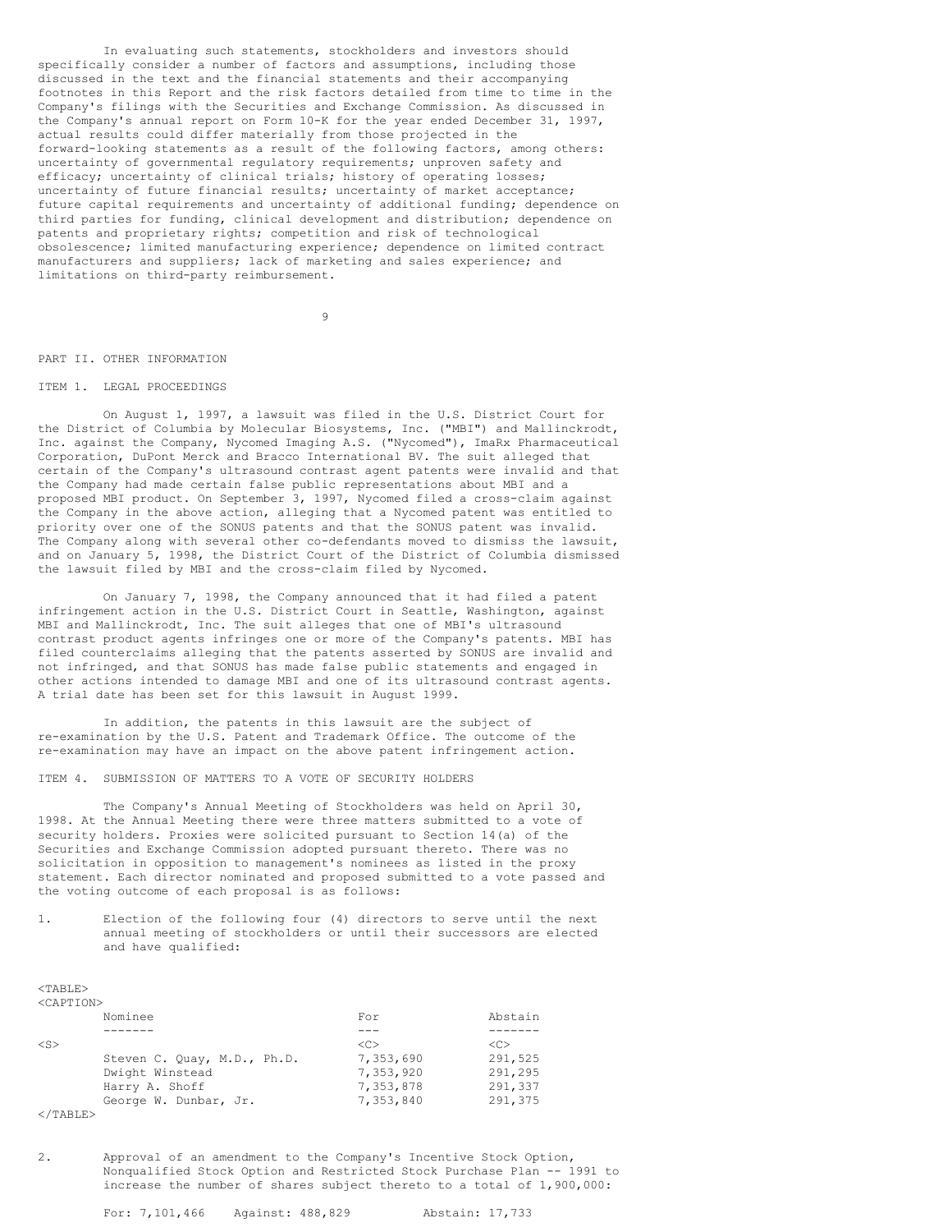In evaluating such statements, stockholders and investors should specifically consider a number of factors and assumptions, including those discussed in the text and the financial statements and their accompanying footnotes in this Report and the risk factors detailed from time to time in the Company's filings with the Securities and Exchange Commission. As discussed in the Company's annual report on Form 10-K for the year ended December 31, 1997, actual results could differ materially from those projected in the forward-looking statements as a result of the following factors, among others: uncertainty of governmental regulatory requirements; unproven safety and efficacy; uncertainty of clinical trials; history of operating losses; uncertainty of future financial results; uncertainty of market acceptance; future capital requirements and uncertainty of additional funding; dependence on third parties for funding, clinical development and distribution; dependence on patents and proprietary rights; competition and risk of technological obsolescence; limited manufacturing experience; dependence on limited contract manufacturers and suppliers; lack of marketing and sales experience; and limitations on third-party reimbursement.

9

# PART II. OTHER INFORMATION

# ITEM 1. LEGAL PROCEEDINGS

On August 1, 1997, a lawsuit was filed in the U.S. District Court for the District of Columbia by Molecular Biosystems, Inc. ("MBI") and Mallinckrodt, Inc. against the Company, Nycomed Imaging A.S. ("Nycomed"), ImaRx Pharmaceutical Corporation, DuPont Merck and Bracco International BV. The suit alleged that certain of the Company's ultrasound contrast agent patents were invalid and that the Company had made certain false public representations about MBI and a proposed MBI product. On September 3, 1997, Nycomed filed a cross-claim against the Company in the above action, alleging that a Nycomed patent was entitled to priority over one of the SONUS patents and that the SONUS patent was invalid. The Company along with several other co-defendants moved to dismiss the lawsuit, and on January 5, 1998, the District Court of the District of Columbia dismissed the lawsuit filed by MBI and the cross-claim filed by Nycomed.

On January 7, 1998, the Company announced that it had filed a patent infringement action in the U.S. District Court in Seattle, Washington, against MBI and Mallinckrodt, Inc. The suit alleges that one of MBI's ultrasound contrast product agents infringes one or more of the Company's patents. MBI has filed counterclaims alleging that the patents asserted by SONUS are invalid and not infringed, and that SONUS has made false public statements and engaged in other actions intended to damage MBI and one of its ultrasound contrast agents. A trial date has been set for this lawsuit in August 1999.

In addition, the patents in this lawsuit are the subject of re-examination by the U.S. Patent and Trademark Office. The outcome of the re-examination may have an impact on the above patent infringement action.

# ITEM 4. SUBMISSION OF MATTERS TO A VOTE OF SECURITY HOLDERS

The Company's Annual Meeting of Stockholders was held on April 30, 1998. At the Annual Meeting there were three matters submitted to a vote of security holders. Proxies were solicited pursuant to Section 14(a) of the Securities and Exchange Commission adopted pursuant thereto. There was no solicitation in opposition to management's nominees as listed in the proxy statement. Each director nominated and proposed submitted to a vote passed and the voting outcome of each proposal is as follows:

1. Election of the following four (4) directors to serve until the next annual meeting of stockholders or until their successors are elected and have qualified:

| $<$ TABLE $>$       |                             |               |               |
|---------------------|-----------------------------|---------------|---------------|
| <caption></caption> |                             |               |               |
|                     | Nominee                     | For           | Abstain       |
|                     |                             |               |               |
| $<$ S $>$           |                             | < <sub></sub> | < <sub></sub> |
|                     | Steven C. Quay, M.D., Ph.D. | 7,353,690     | 291,525       |
|                     | Dwight Winstead             | 7,353,920     | 291,295       |
|                     | Harry A. Shoff              | 7,353,878     | 291,337       |
|                     | George W. Dunbar, Jr.       | 7,353,840     | 291,375       |
| -------             |                             |               |               |

 $\langle$ /TABLE>

2. Approval of an amendment to the Company's Incentive Stock Option, Nonqualified Stock Option and Restricted Stock Purchase Plan -- 1991 to increase the number of shares subject thereto to a total of 1,900,000: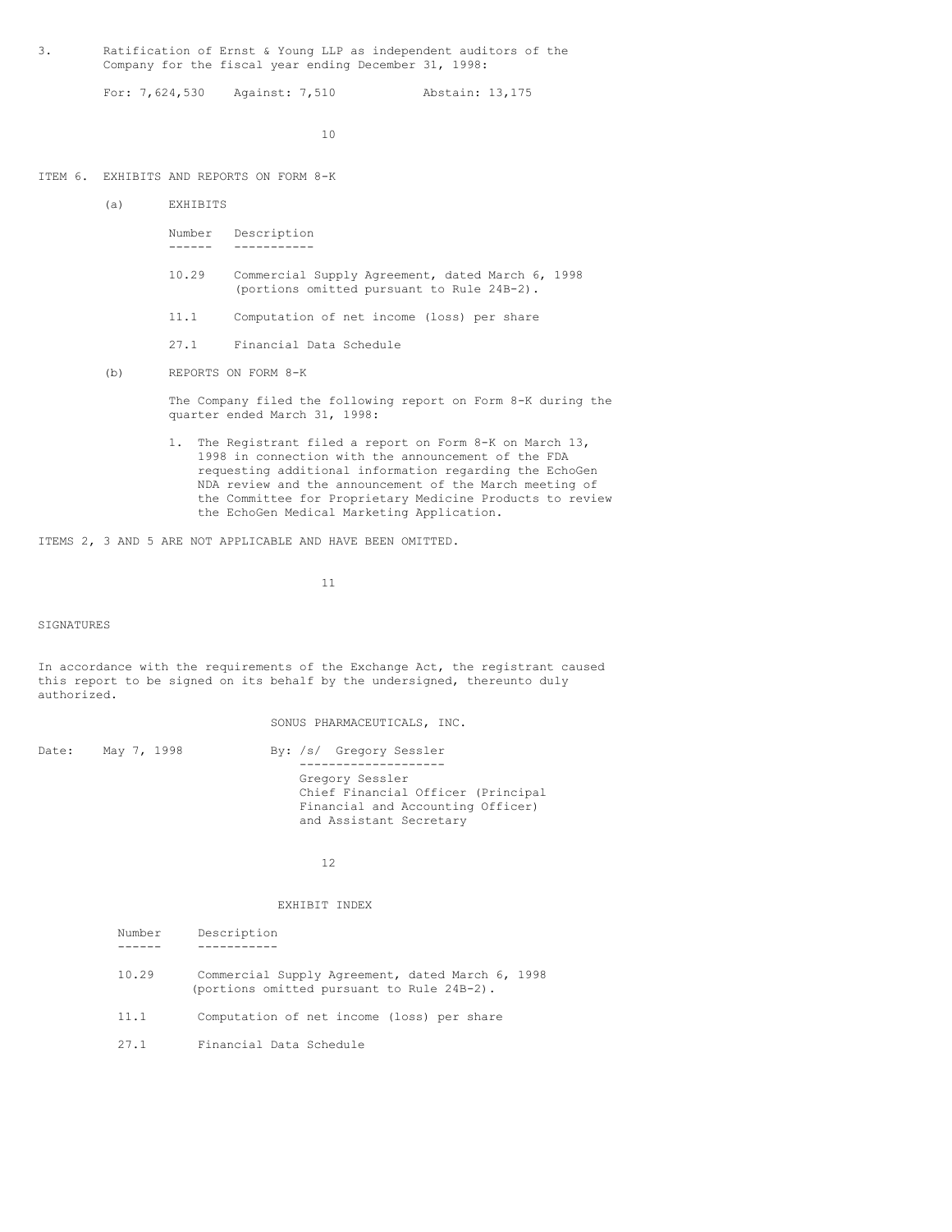3. Ratification of Ernst & Young LLP as independent auditors of the Company for the fiscal year ending December 31, 1998:

For: 7,624,530 Against: 7,510 Abstain: 13,175

10

### ITEM 6. EXHIBITS AND REPORTS ON FORM 8-K

- (a) EXHIBITS
	- Number Description ------ -----------
	- 10.29 Commercial Supply Agreement, dated March 6, 1998 (portions omitted pursuant to Rule 24B-2).
	- 11.1 Computation of net income (loss) per share
	- 27.1 Financial Data Schedule
- (b) REPORTS ON FORM 8-K

The Company filed the following report on Form 8-K during the quarter ended March 31, 1998:

1. The Registrant filed a report on Form 8-K on March 13, 1998 in connection with the announcement of the FDA requesting additional information regarding the EchoGen NDA review and the announcement of the March meeting of the Committee for Proprietary Medicine Products to review the EchoGen Medical Marketing Application.

ITEMS 2, 3 AND 5 ARE NOT APPLICABLE AND HAVE BEEN OMITTED.

11

SIGNATURES

In accordance with the requirements of the Exchange Act, the registrant caused this report to be signed on its behalf by the undersigned, thereunto duly authorized.

SONUS PHARMACEUTICALS, INC.

| Date: | May 7, 1998 | By: /s/ Gregory Sessler                                                                                               |
|-------|-------------|-----------------------------------------------------------------------------------------------------------------------|
|       |             | Gregory Sessler<br>Chief Financial Officer (Principal<br>Financial and Accounting Officer)<br>and Assistant Secretary |

12

#### EXHIBIT INDEX

| Number | Description                                                                                    |
|--------|------------------------------------------------------------------------------------------------|
|        |                                                                                                |
| 10.29  | Commercial Supply Agreement, dated March 6, 1998<br>(portions omitted pursuant to Rule 24B-2). |
| 11.1   | Computation of net income (loss) per share                                                     |
| 27.1   | Financial Data Schedule                                                                        |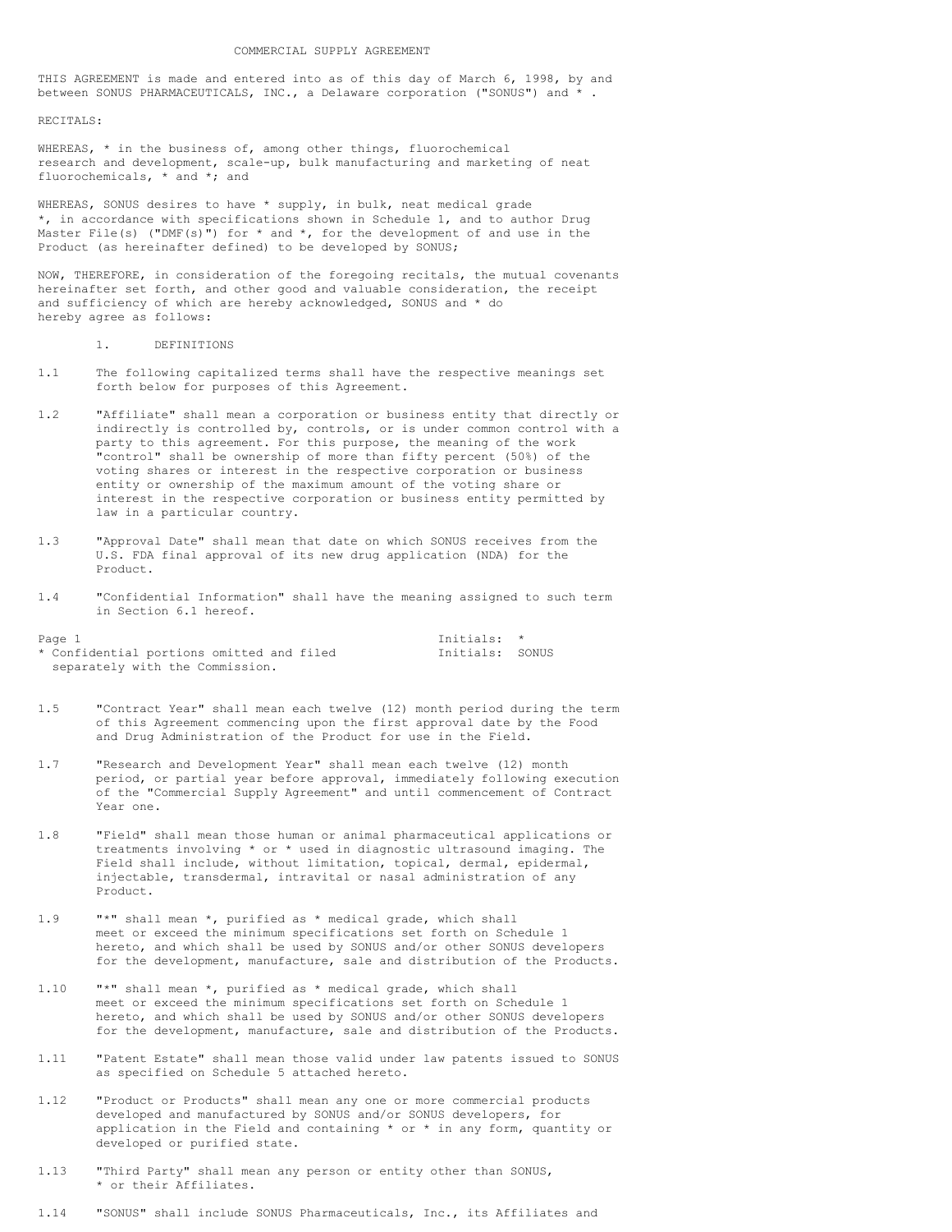THIS AGREEMENT is made and entered into as of this day of March 6, 1998, by and between SONUS PHARMACEUTICALS, INC., a Delaware corporation ("SONUS") and \* .

RECITALS:

WHEREAS, \* in the business of, among other things, fluorochemical research and development, scale-up, bulk manufacturing and marketing of neat fluorochemicals, \* and \*; and

WHEREAS, SONUS desires to have \* supply, in bulk, neat medical grade \*, in accordance with specifications shown in Schedule 1, and to author Drug Master File(s) ("DMF(s)") for  $*$  and  $*$ , for the development of and use in the Product (as hereinafter defined) to be developed by SONUS;

NOW, THEREFORE, in consideration of the foregoing recitals, the mutual covenants hereinafter set forth, and other good and valuable consideration, the receipt and sufficiency of which are hereby acknowledged, SONUS and \* do hereby agree as follows:

- 1. DEFINITIONS
- 1.1 The following capitalized terms shall have the respective meanings set forth below for purposes of this Agreement.
- 1.2 "Affiliate" shall mean a corporation or business entity that directly or indirectly is controlled by, controls, or is under common control with a party to this agreement. For this purpose, the meaning of the work "control" shall be ownership of more than fifty percent (50%) of the voting shares or interest in the respective corporation or business entity or ownership of the maximum amount of the voting share or interest in the respective corporation or business entity permitted by law in a particular country.
- 1.3 "Approval Date" shall mean that date on which SONUS receives from the U.S. FDA final approval of its new drug application (NDA) for the Product.
- 1.4 "Confidential Information" shall have the meaning assigned to such term in Section 6.1 hereof.

| Page 1                                    | Tnitials: *     |  |  |  |
|-------------------------------------------|-----------------|--|--|--|
| * Confidential portions omitted and filed | Initials: SONUS |  |  |  |
| separately with the Commission.           |                 |  |  |  |

- 1.5 "Contract Year" shall mean each twelve (12) month period during the term of this Agreement commencing upon the first approval date by the Food and Drug Administration of the Product for use in the Field.
- 1.7 "Research and Development Year" shall mean each twelve (12) month period, or partial year before approval, immediately following execution of the "Commercial Supply Agreement" and until commencement of Contract Year one.
- 1.8 "Field" shall mean those human or animal pharmaceutical applications or treatments involving \* or \* used in diagnostic ultrasound imaging. The Field shall include, without limitation, topical, dermal, epidermal, injectable, transdermal, intravital or nasal administration of any Product.
- 1.9 "\*" shall mean \*, purified as \* medical grade, which shall meet or exceed the minimum specifications set forth on Schedule 1 hereto, and which shall be used by SONUS and/or other SONUS developers for the development, manufacture, sale and distribution of the Products.
- 1.10 "\*" shall mean \*, purified as \* medical grade, which shall meet or exceed the minimum specifications set forth on Schedule 1 hereto, and which shall be used by SONUS and/or other SONUS developers for the development, manufacture, sale and distribution of the Products.
- 1.11 "Patent Estate" shall mean those valid under law patents issued to SONUS as specified on Schedule 5 attached hereto.
- 1.12 "Product or Products" shall mean any one or more commercial products developed and manufactured by SONUS and/or SONUS developers, for application in the Field and containing  $*$  or  $*$  in any form, quantity or developed or purified state.
- 1.13 "Third Party" shall mean any person or entity other than SONUS, \* or their Affiliates.
- 1.14 "SONUS" shall include SONUS Pharmaceuticals, Inc., its Affiliates and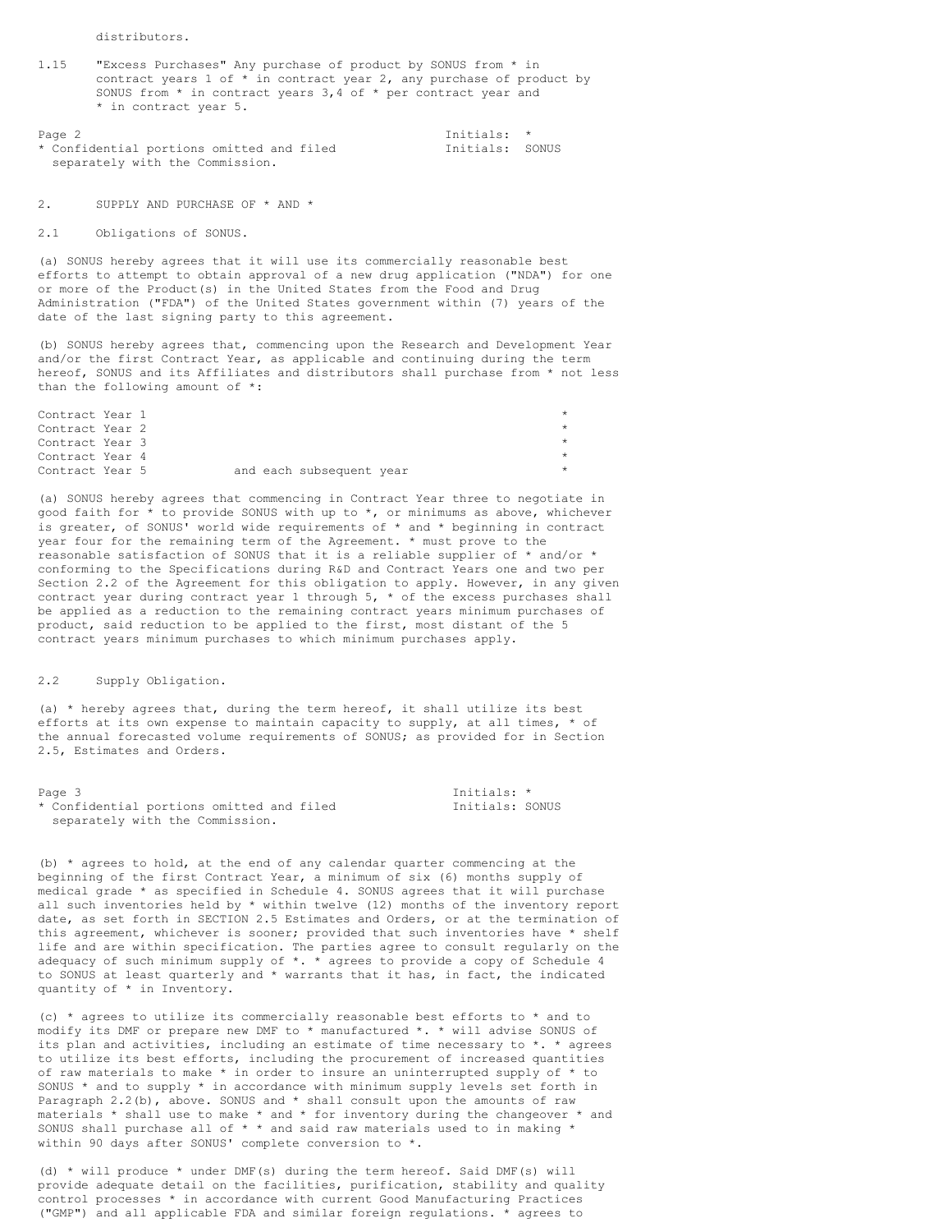distributors.

1.15 "Excess Purchases" Any purchase of product by SONUS from \* in contract years 1 of \* in contract year 2, any purchase of product by SONUS from \* in contract years 3,4 of \* per contract year and \* in contract year 5.

Page 2 Initials: \*<br>
\* Confidential portions omitted and filed  $\overline{ }$  Initials: SONUS \* Confidential portions omitted and filed separately with the Commission.

2. SUPPLY AND PURCHASE OF \* AND \*

2.1 Obligations of SONUS.

(a) SONUS hereby agrees that it will use its commercially reasonable best efforts to attempt to obtain approval of a new drug application ("NDA") for one or more of the Product(s) in the United States from the Food and Drug Administration ("FDA") of the United States government within (7) years of the date of the last signing party to this agreement.

(b) SONUS hereby agrees that, commencing upon the Research and Development Year and/or the first Contract Year, as applicable and continuing during the term hereof, SONUS and its Affiliates and distributors shall purchase from \* not less than the following amount of \*:

| Contract Year 1 |  |                          |  |
|-----------------|--|--------------------------|--|
| Contract Year 2 |  |                          |  |
| Contract Year 3 |  |                          |  |
| Contract Year 4 |  |                          |  |
| Contract Year 5 |  | and each subsequent year |  |

(a) SONUS hereby agrees that commencing in Contract Year three to negotiate in good faith for \* to provide SONUS with up to \*, or minimums as above, whichever is greater, of SONUS' world wide requirements of \* and \* beginning in contract year four for the remaining term of the Agreement. \* must prove to the reasonable satisfaction of SONUS that it is a reliable supplier of  $*$  and/or  $*$ conforming to the Specifications during R&D and Contract Years one and two per Section 2.2 of the Agreement for this obligation to apply. However, in any given contract year during contract year 1 through 5, \* of the excess purchases shall be applied as a reduction to the remaining contract years minimum purchases of product, said reduction to be applied to the first, most distant of the 5 contract years minimum purchases to which minimum purchases apply.

#### 2.2 Supply Obligation.

(a) \* hereby agrees that, during the term hereof, it shall utilize its best efforts at its own expense to maintain capacity to supply, at all times,  $*$  of the annual forecasted volume requirements of SONUS; as provided for in Section 2.5, Estimates and Orders.

| Page 3                                    | Initials: *     |  |  |
|-------------------------------------------|-----------------|--|--|
| * Confidential portions omitted and filed | Initials: SONUS |  |  |
| separately with the Commission.           |                 |  |  |

(b)  $*$  agrees to hold, at the end of any calendar quarter commencing at the beginning of the first Contract Year, a minimum of six (6) months supply of medical grade \* as specified in Schedule 4. SONUS agrees that it will purchase all such inventories held by \* within twelve (12) months of the inventory report date, as set forth in SECTION 2.5 Estimates and Orders, or at the termination of this agreement, whichever is sooner; provided that such inventories have \* shelf life and are within specification. The parties agree to consult regularly on the adequacy of such minimum supply of  $*$ .  $*$  agrees to provide a copy of Schedule 4 to SONUS at least quarterly and \* warrants that it has, in fact, the indicated quantity of \* in Inventory.

(c) \* agrees to utilize its commercially reasonable best efforts to \* and to modify its DMF or prepare new DMF to \* manufactured \*. \* will advise SONUS of its plan and activities, including an estimate of time necessary to \*. \* agrees to utilize its best efforts, including the procurement of increased quantities of raw materials to make  $*$  in order to insure an uninterrupted supply of  $*$  to SONUS \* and to supply \* in accordance with minimum supply levels set forth in Paragraph 2.2(b), above. SONUS and \* shall consult upon the amounts of raw materials \* shall use to make \* and \* for inventory during the changeover \* and SONUS shall purchase all of \* \* and said raw materials used to in making \* within 90 days after SONUS' complete conversion to \*.

(d)  $*$  will produce  $*$  under DMF(s) during the term hereof. Said DMF(s) will provide adequate detail on the facilities, purification, stability and quality control processes \* in accordance with current Good Manufacturing Practices ("GMP") and all applicable FDA and similar foreign regulations. \* agrees to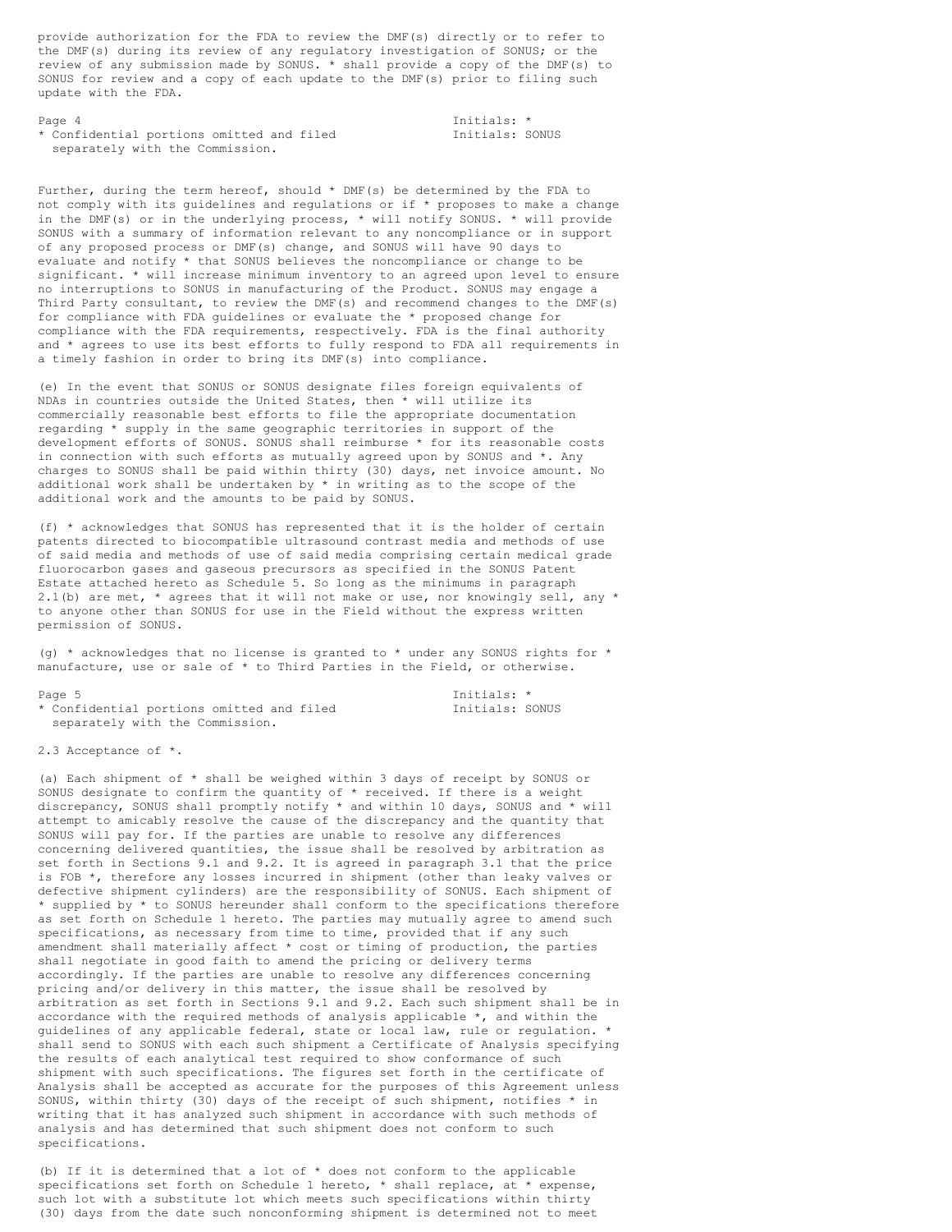provide authorization for the FDA to review the DMF(s) directly or to refer to the DMF(s) during its review of any regulatory investigation of SONUS; or the review of any submission made by SONUS. \* shall provide a copy of the DMF(s) to SONUS for review and a copy of each update to the DMF(s) prior to filing such update with the FDA.

Page 4 Initials: \*<br>
\* Confidential portions omitted and filed  $\overline{ }$  Initials: SONUS \* Confidential portions omitted and filed separately with the Commission.

Further, during the term hereof, should \* DMF(s) be determined by the FDA to not comply with its guidelines and regulations or if \* proposes to make a change in the DMF(s) or in the underlying process,  $*$  will notify SONUS.  $*$  will provide SONUS with a summary of information relevant to any noncompliance or in support of any proposed process or DMF(s) change, and SONUS will have 90 days to evaluate and notify \* that SONUS believes the noncompliance or change to be significant. \* will increase minimum inventory to an agreed upon level to ensure no interruptions to SONUS in manufacturing of the Product. SONUS may engage a Third Party consultant, to review the DMF(s) and recommend changes to the DMF(s) for compliance with FDA guidelines or evaluate the \* proposed change for compliance with the FDA requirements, respectively. FDA is the final authority and \* agrees to use its best efforts to fully respond to FDA all requirements in a timely fashion in order to bring its DMF(s) into compliance.

(e) In the event that SONUS or SONUS designate files foreign equivalents of NDAs in countries outside the United States, then \* will utilize its commercially reasonable best efforts to file the appropriate documentation regarding \* supply in the same geographic territories in support of the development efforts of SONUS. SONUS shall reimburse \* for its reasonable costs in connection with such efforts as mutually agreed upon by SONUS and \*. Any charges to SONUS shall be paid within thirty (30) days, net invoice amount. No additional work shall be undertaken by \* in writing as to the scope of the additional work and the amounts to be paid by SONUS.

(f) \* acknowledges that SONUS has represented that it is the holder of certain patents directed to biocompatible ultrasound contrast media and methods of use of said media and methods of use of said media comprising certain medical grade fluorocarbon gases and gaseous precursors as specified in the SONUS Patent Estate attached hereto as Schedule 5. So long as the minimums in paragraph 2.1(b) are met, \* agrees that it will not make or use, nor knowingly sell, any \* to anyone other than SONUS for use in the Field without the express written permission of SONUS.

(q)  $*$  acknowledges that no license is granted to  $*$  under any SONUS rights for  $*$ manufacture, use or sale of \* to Third Parties in the Field, or otherwise.

Page 5 **Initials:** \* \* Confidential portions omitted and filed Initials: SONUS separately with the Commission.

2.3 Acceptance of \*.

(a) Each shipment of \* shall be weighed within 3 days of receipt by SONUS or SONUS designate to confirm the quantity of  $*$  received. If there is a weight discrepancy, SONUS shall promptly notify \* and within 10 days, SONUS and \* will attempt to amicably resolve the cause of the discrepancy and the quantity that SONUS will pay for. If the parties are unable to resolve any differences concerning delivered quantities, the issue shall be resolved by arbitration as set forth in Sections 9.1 and 9.2. It is agreed in paragraph 3.1 that the price is FOB \*, therefore any losses incurred in shipment (other than leaky valves or defective shipment cylinders) are the responsibility of SONUS. Each shipment of \* supplied by \* to SONUS hereunder shall conform to the specifications therefore as set forth on Schedule 1 hereto. The parties may mutually agree to amend such specifications, as necessary from time to time, provided that if any such amendment shall materially affect \* cost or timing of production, the parties shall negotiate in good faith to amend the pricing or delivery terms accordingly. If the parties are unable to resolve any differences concerning pricing and/or delivery in this matter, the issue shall be resolved by arbitration as set forth in Sections 9.1 and 9.2. Each such shipment shall be in accordance with the required methods of analysis applicable  $*$ , and within the guidelines of any applicable federal, state or local law, rule or regulation. \* shall send to SONUS with each such shipment a Certificate of Analysis specifying the results of each analytical test required to show conformance of such shipment with such specifications. The figures set forth in the certificate of Analysis shall be accepted as accurate for the purposes of this Agreement unless SONUS, within thirty (30) days of the receipt of such shipment, notifies  $*$  in writing that it has analyzed such shipment in accordance with such methods of analysis and has determined that such shipment does not conform to such specifications.

(b) If it is determined that a lot of  $*$  does not conform to the applicable specifications set forth on Schedule 1 hereto, \* shall replace, at \* expense, such lot with a substitute lot which meets such specifications within thirty (30) days from the date such nonconforming shipment is determined not to meet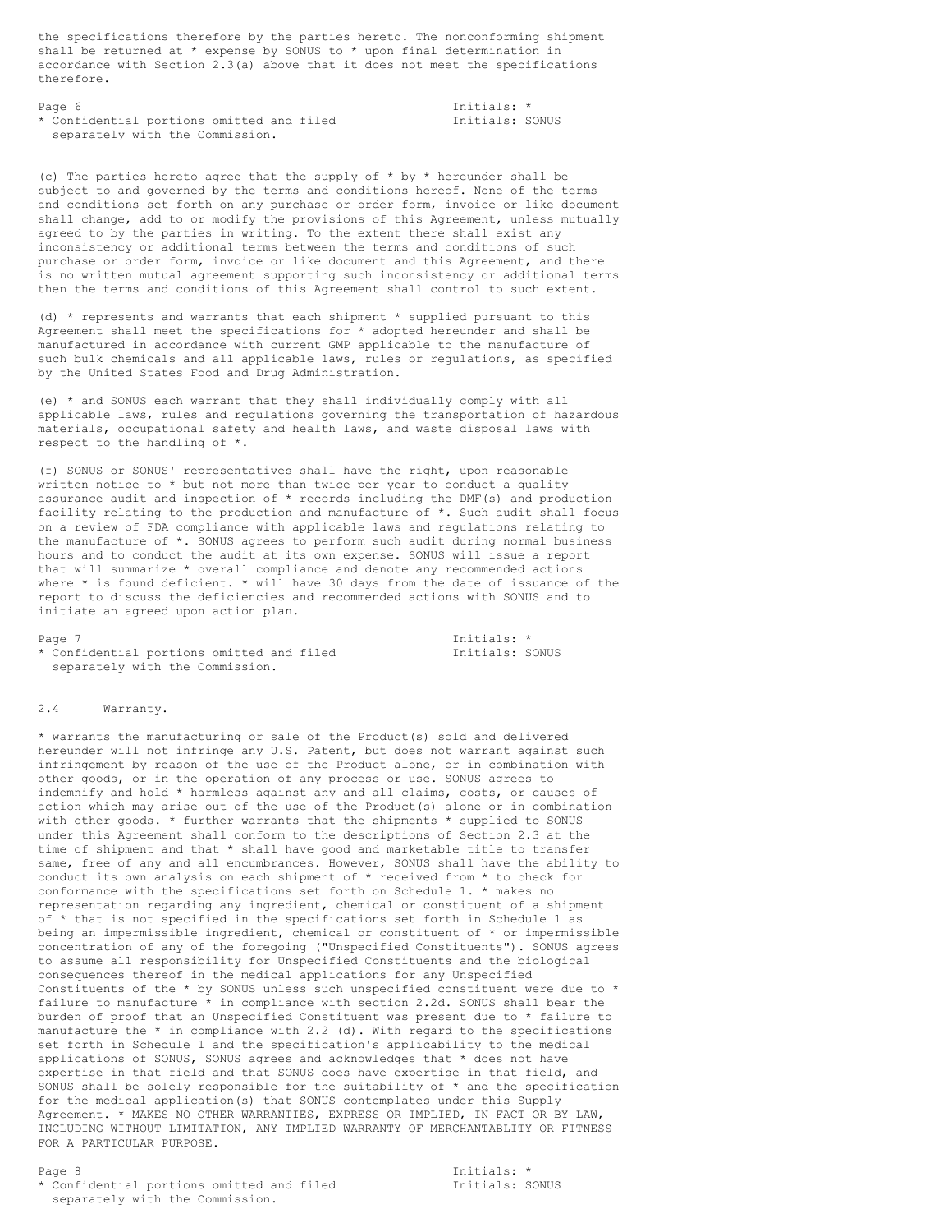the specifications therefore by the parties hereto. The nonconforming shipment shall be returned at \* expense by SONUS to \* upon final determination in accordance with Section 2.3(a) above that it does not meet the specifications therefore.

Page 6 Initials: \*<br>
\* Confidential portions omitted and filed Thitials: SONUS \* Confidential portions omitted and filed separately with the Commission.

(c) The parties hereto agree that the supply of  $*$  by  $*$  hereunder shall be subject to and governed by the terms and conditions hereof. None of the terms and conditions set forth on any purchase or order form, invoice or like document shall change, add to or modify the provisions of this Agreement, unless mutually agreed to by the parties in writing. To the extent there shall exist any inconsistency or additional terms between the terms and conditions of such purchase or order form, invoice or like document and this Agreement, and there is no written mutual agreement supporting such inconsistency or additional terms then the terms and conditions of this Agreement shall control to such extent.

(d)  $*$  represents and warrants that each shipment  $*$  supplied pursuant to this Agreement shall meet the specifications for \* adopted hereunder and shall be manufactured in accordance with current GMP applicable to the manufacture of such bulk chemicals and all applicable laws, rules or regulations, as specified by the United States Food and Drug Administration.

(e) \* and SONUS each warrant that they shall individually comply with all applicable laws, rules and regulations governing the transportation of hazardous materials, occupational safety and health laws, and waste disposal laws with respect to the handling of \*.

(f) SONUS or SONUS' representatives shall have the right, upon reasonable written notice to  $*$  but not more than twice per year to conduct a quality assurance audit and inspection of \* records including the DMF(s) and production facility relating to the production and manufacture of \*. Such audit shall focus on a review of FDA compliance with applicable laws and regulations relating to the manufacture of \*. SONUS agrees to perform such audit during normal business hours and to conduct the audit at its own expense. SONUS will issue a report that will summarize \* overall compliance and denote any recommended actions where \* is found deficient. \* will have 30 days from the date of issuance of the report to discuss the deficiencies and recommended actions with SONUS and to initiate an agreed upon action plan.

Page 7 and 10 initials:  $\star$  Initials:  $\star$ \* Confidential portions omitted and filed Tnitials: SONUS separately with the Commission.

# 2.4 Warranty.

\* warrants the manufacturing or sale of the Product(s) sold and delivered hereunder will not infringe any U.S. Patent, but does not warrant against such infringement by reason of the use of the Product alone, or in combination with other goods, or in the operation of any process or use. SONUS agrees to indemnify and hold \* harmless against any and all claims, costs, or causes of action which may arise out of the use of the Product(s) alone or in combination with other goods. \* further warrants that the shipments \* supplied to SONUS under this Agreement shall conform to the descriptions of Section 2.3 at the time of shipment and that \* shall have good and marketable title to transfer same, free of any and all encumbrances. However, SONUS shall have the ability to conduct its own analysis on each shipment of \* received from \* to check for conformance with the specifications set forth on Schedule 1. \* makes no representation regarding any ingredient, chemical or constituent of a shipment of \* that is not specified in the specifications set forth in Schedule 1 as being an impermissible ingredient, chemical or constituent of  $*$  or impermissible concentration of any of the foregoing ("Unspecified Constituents"). SONUS agrees to assume all responsibility for Unspecified Constituents and the biological consequences thereof in the medical applications for any Unspecified Constituents of the \* by SONUS unless such unspecified constituent were due to \* failure to manufacture \* in compliance with section 2.2d. SONUS shall bear the burden of proof that an Unspecified Constituent was present due to \* failure to manufacture the  $*$  in compliance with 2.2 (d). With regard to the specifications set forth in Schedule 1 and the specification's applicability to the medical applications of SONUS, SONUS agrees and acknowledges that \* does not have expertise in that field and that SONUS does have expertise in that field, and SONUS shall be solely responsible for the suitability of \* and the specification for the medical application(s) that SONUS contemplates under this Supply Agreement. \* MAKES NO OTHER WARRANTIES, EXPRESS OR IMPLIED, IN FACT OR BY LAW, INCLUDING WITHOUT LIMITATION, ANY IMPLIED WARRANTY OF MERCHANTABLITY OR FITNESS FOR A PARTICULAR PURPOSE.

Page 8 Initials: \* \* Confidential portions omitted and filed Initials: SONUS separately with the Commission.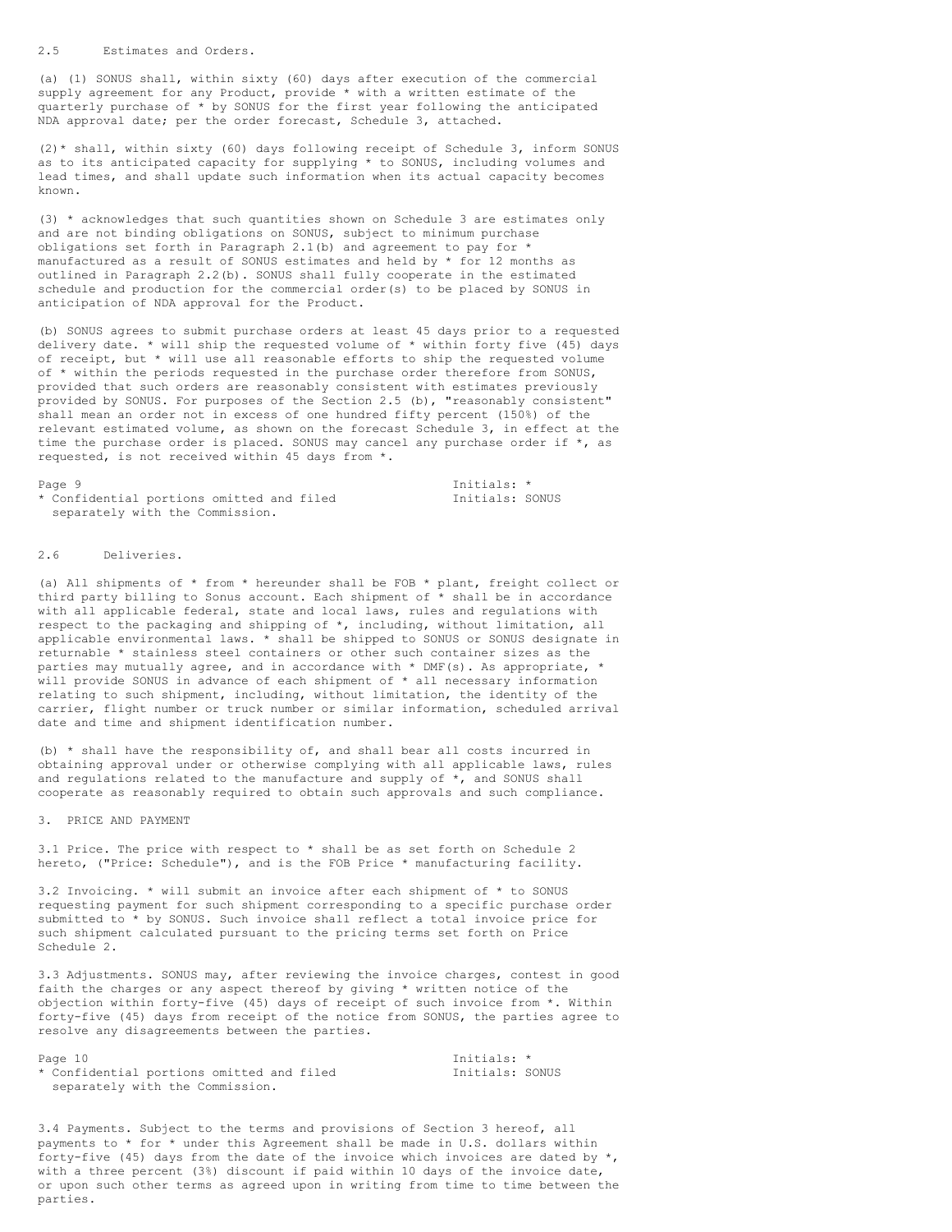(a) (1) SONUS shall, within sixty (60) days after execution of the commercial supply agreement for any Product, provide \* with a written estimate of the quarterly purchase of \* by SONUS for the first year following the anticipated NDA approval date; per the order forecast, Schedule 3, attached.

(2)\* shall, within sixty (60) days following receipt of Schedule 3, inform SONUS as to its anticipated capacity for supplying \* to SONUS, including volumes and lead times, and shall update such information when its actual capacity becomes known.

(3) \* acknowledges that such quantities shown on Schedule 3 are estimates only and are not binding obligations on SONUS, subject to minimum purchase obligations set forth in Paragraph 2.1(b) and agreement to pay for  $*$ manufactured as a result of SONUS estimates and held by  $*$  for 12 months as outlined in Paragraph 2.2(b). SONUS shall fully cooperate in the estimated schedule and production for the commercial order(s) to be placed by SONUS in anticipation of NDA approval for the Product.

(b) SONUS agrees to submit purchase orders at least 45 days prior to a requested delivery date. \* will ship the requested volume of \* within forty five (45) days of receipt, but \* will use all reasonable efforts to ship the requested volume of \* within the periods requested in the purchase order therefore from SONUS, provided that such orders are reasonably consistent with estimates previously provided by SONUS. For purposes of the Section 2.5 (b), "reasonably consistent" shall mean an order not in excess of one hundred fifty percent (150%) of the relevant estimated volume, as shown on the forecast Schedule 3, in effect at the time the purchase order is placed. SONUS may cancel any purchase order if \*, as requested, is not received within 45 days from \*.

\* Confidential portions omitted and filed Initials: SONUS separately with the Commission.

Page 9 Initials: \*

### 2.6 Deliveries.

(a) All shipments of  $*$  from  $*$  hereunder shall be FOB  $*$  plant, freight collect or third party billing to Sonus account. Each shipment of \* shall be in accordance with all applicable federal, state and local laws, rules and regulations with respect to the packaging and shipping of \*, including, without limitation, all applicable environmental laws. \* shall be shipped to SONUS or SONUS designate in returnable \* stainless steel containers or other such container sizes as the parties may mutually agree, and in accordance with \* DMF(s). As appropriate, \* will provide SONUS in advance of each shipment of \* all necessary information relating to such shipment, including, without limitation, the identity of the carrier, flight number or truck number or similar information, scheduled arrival date and time and shipment identification number.

(b) \* shall have the responsibility of, and shall bear all costs incurred in obtaining approval under or otherwise complying with all applicable laws, rules and regulations related to the manufacture and supply of  $*$ , and SONUS shall cooperate as reasonably required to obtain such approvals and such compliance.

#### 3. PRICE AND PAYMENT

3.1 Price. The price with respect to \* shall be as set forth on Schedule 2 hereto, ("Price: Schedule"), and is the FOB Price \* manufacturing facility.

3.2 Invoicing. \* will submit an invoice after each shipment of \* to SONUS requesting payment for such shipment corresponding to a specific purchase order submitted to \* by SONUS. Such invoice shall reflect a total invoice price for such shipment calculated pursuant to the pricing terms set forth on Price Schedule 2.

3.3 Adjustments. SONUS may, after reviewing the invoice charges, contest in good faith the charges or any aspect thereof by giving \* written notice of the objection within forty-five (45) days of receipt of such invoice from \*. Within forty-five (45) days from receipt of the notice from SONUS, the parties agree to resolve any disagreements between the parties.

Page 10 Initials: \*<br>
\* Confidential portions omitted and filed  $\overline{ }$  Initials: SONUS \* Confidential portions omitted and filed separately with the Commission.

3.4 Payments. Subject to the terms and provisions of Section 3 hereof, all payments to \* for \* under this Agreement shall be made in U.S. dollars within forty-five (45) days from the date of the invoice which invoices are dated by  $\star$ , with a three percent (3%) discount if paid within 10 days of the invoice date, or upon such other terms as agreed upon in writing from time to time between the parties.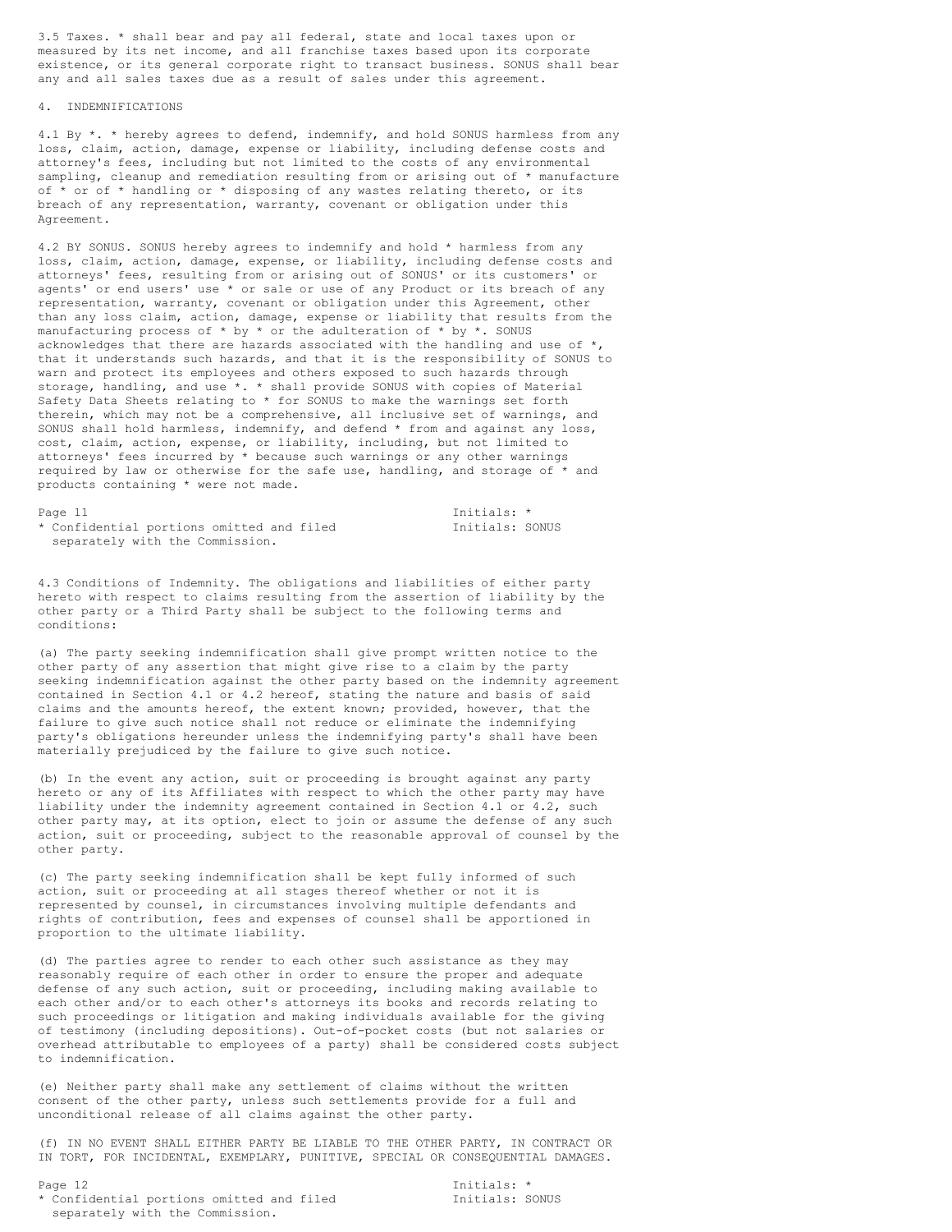3.5 Taxes. \* shall bear and pay all federal, state and local taxes upon or measured by its net income, and all franchise taxes based upon its corporate existence, or its general corporate right to transact business. SONUS shall bear any and all sales taxes due as a result of sales under this agreement.

# 4. INDEMNIFICATIONS

4.1 By \*. \* hereby agrees to defend, indemnify, and hold SONUS harmless from any loss, claim, action, damage, expense or liability, including defense costs and attorney's fees, including but not limited to the costs of any environmental sampling, cleanup and remediation resulting from or arising out of \* manufacture of  $*$  or of  $*$  handling or  $*$  disposing of any wastes relating thereto, or its breach of any representation, warranty, covenant or obligation under this Agreement.

4.2 BY SONUS. SONUS hereby agrees to indemnify and hold \* harmless from any loss, claim, action, damage, expense, or liability, including defense costs and attorneys' fees, resulting from or arising out of SONUS' or its customers' or agents' or end users' use \* or sale or use of any Product or its breach of any representation, warranty, covenant or obligation under this Agreement, other than any loss claim, action, damage, expense or liability that results from the manufacturing process of  $*$  by  $*$  or the adulteration of  $*$  by  $*$ . SONUS acknowledges that there are hazards associated with the handling and use of  $*$ , that it understands such hazards, and that it is the responsibility of SONUS to warn and protect its employees and others exposed to such hazards through storage, handling, and use \*. \* shall provide SONUS with copies of Material Safety Data Sheets relating to \* for SONUS to make the warnings set forth therein, which may not be a comprehensive, all inclusive set of warnings, and SONUS shall hold harmless, indemnify, and defend \* from and against any loss, cost, claim, action, expense, or liability, including, but not limited to attorneys' fees incurred by \* because such warnings or any other warnings required by law or otherwise for the safe use, handling, and storage of \* and products containing \* were not made.

Page 11 Initials: \*<br>
\* Confidential portions omitted and filed Thitials: SONUS \* Confidential portions omitted and filed separately with the Commission.

4.3 Conditions of Indemnity. The obligations and liabilities of either party hereto with respect to claims resulting from the assertion of liability by the other party or a Third Party shall be subject to the following terms and conditions:

(a) The party seeking indemnification shall give prompt written notice to the other party of any assertion that might give rise to a claim by the party seeking indemnification against the other party based on the indemnity agreement contained in Section 4.1 or 4.2 hereof, stating the nature and basis of said claims and the amounts hereof, the extent known; provided, however, that the failure to give such notice shall not reduce or eliminate the indemnifying party's obligations hereunder unless the indemnifying party's shall have been materially prejudiced by the failure to give such notice.

(b) In the event any action, suit or proceeding is brought against any party hereto or any of its Affiliates with respect to which the other party may have liability under the indemnity agreement contained in Section 4.1 or 4.2, such other party may, at its option, elect to join or assume the defense of any such action, suit or proceeding, subject to the reasonable approval of counsel by the other party.

(c) The party seeking indemnification shall be kept fully informed of such action, suit or proceeding at all stages thereof whether or not it is represented by counsel, in circumstances involving multiple defendants and rights of contribution, fees and expenses of counsel shall be apportioned in proportion to the ultimate liability.

(d) The parties agree to render to each other such assistance as they may reasonably require of each other in order to ensure the proper and adequate defense of any such action, suit or proceeding, including making available to each other and/or to each other's attorneys its books and records relating to such proceedings or litigation and making individuals available for the giving of testimony (including depositions). Out-of-pocket costs (but not salaries or overhead attributable to employees of a party) shall be considered costs subject to indemnification.

(e) Neither party shall make any settlement of claims without the written consent of the other party, unless such settlements provide for a full and unconditional release of all claims against the other party.

(f) IN NO EVENT SHALL EITHER PARTY BE LIABLE TO THE OTHER PARTY, IN CONTRACT OR IN TORT, FOR INCIDENTAL, EXEMPLARY, PUNITIVE, SPECIAL OR CONSEQUENTIAL DAMAGES.

Page 12 Initials: \*<br>
\* Confidential portions omitted and filed  $\overline{ }$  Initials: SONUS \* Confidential portions omitted and filed separately with the Commission.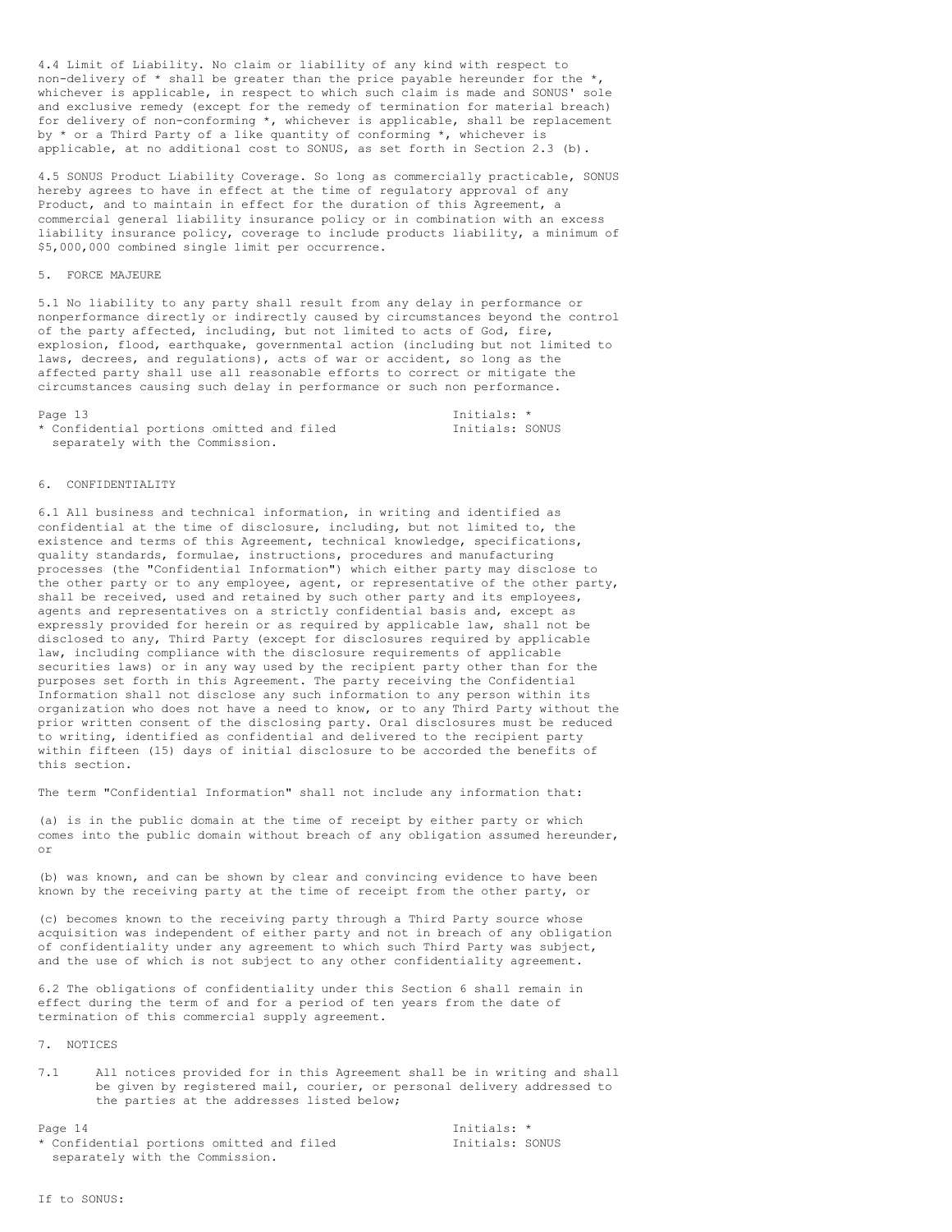4.4 Limit of Liability. No claim or liability of any kind with respect to non-delivery of  $*$  shall be greater than the price payable hereunder for the  $*$ , whichever is applicable, in respect to which such claim is made and SONUS' sole and exclusive remedy (except for the remedy of termination for material breach) for delivery of non-conforming \*, whichever is applicable, shall be replacement by  $*$  or a Third Party of a like quantity of conforming  $*$ , whichever is applicable, at no additional cost to SONUS, as set forth in Section 2.3 (b).

4.5 SONUS Product Liability Coverage. So long as commercially practicable, SONUS hereby agrees to have in effect at the time of regulatory approval of any Product, and to maintain in effect for the duration of this Agreement, a commercial general liability insurance policy or in combination with an excess liability insurance policy, coverage to include products liability, a minimum of \$5,000,000 combined single limit per occurrence.

#### 5. FORCE MAJEURE

5.1 No liability to any party shall result from any delay in performance or nonperformance directly or indirectly caused by circumstances beyond the control of the party affected, including, but not limited to acts of God, fire, explosion, flood, earthquake, governmental action (including but not limited to laws, decrees, and regulations), acts of war or accident, so long as the affected party shall use all reasonable efforts to correct or mitigate the circumstances causing such delay in performance or such non performance.

| Page 13                                   | Tnitials: *     |  |
|-------------------------------------------|-----------------|--|
| * Confidential portions omitted and filed | Initials: SONUS |  |
| separately with the Commission.           |                 |  |

#### 6. CONFIDENTIALITY

6.1 All business and technical information, in writing and identified as confidential at the time of disclosure, including, but not limited to, the existence and terms of this Agreement, technical knowledge, specifications, quality standards, formulae, instructions, procedures and manufacturing processes (the "Confidential Information") which either party may disclose to the other party or to any employee, agent, or representative of the other party, shall be received, used and retained by such other party and its employees, agents and representatives on a strictly confidential basis and, except as expressly provided for herein or as required by applicable law, shall not be disclosed to any, Third Party (except for disclosures required by applicable law, including compliance with the disclosure requirements of applicable securities laws) or in any way used by the recipient party other than for the purposes set forth in this Agreement. The party receiving the Confidential Information shall not disclose any such information to any person within its organization who does not have a need to know, or to any Third Party without the prior written consent of the disclosing party. Oral disclosures must be reduced to writing, identified as confidential and delivered to the recipient party within fifteen (15) days of initial disclosure to be accorded the benefits of this section.

The term "Confidential Information" shall not include any information that:

(a) is in the public domain at the time of receipt by either party or which comes into the public domain without breach of any obligation assumed hereunder, or

(b) was known, and can be shown by clear and convincing evidence to have been known by the receiving party at the time of receipt from the other party, or

(c) becomes known to the receiving party through a Third Party source whose acquisition was independent of either party and not in breach of any obligation of confidentiality under any agreement to which such Third Party was subject, and the use of which is not subject to any other confidentiality agreement.

6.2 The obligations of confidentiality under this Section 6 shall remain in effect during the term of and for a period of ten years from the date of termination of this commercial supply agreement.

7. NOTICES

7.1 All notices provided for in this Agreement shall be in writing and shall be given by registered mail, courier, or personal delivery addressed to the parties at the addresses listed below;

Page 14 Initials: \*<br>
\* Confidential portions omitted and filed \* Thitials: SONUS \* Confidential portions omitted and filed separately with the Commission.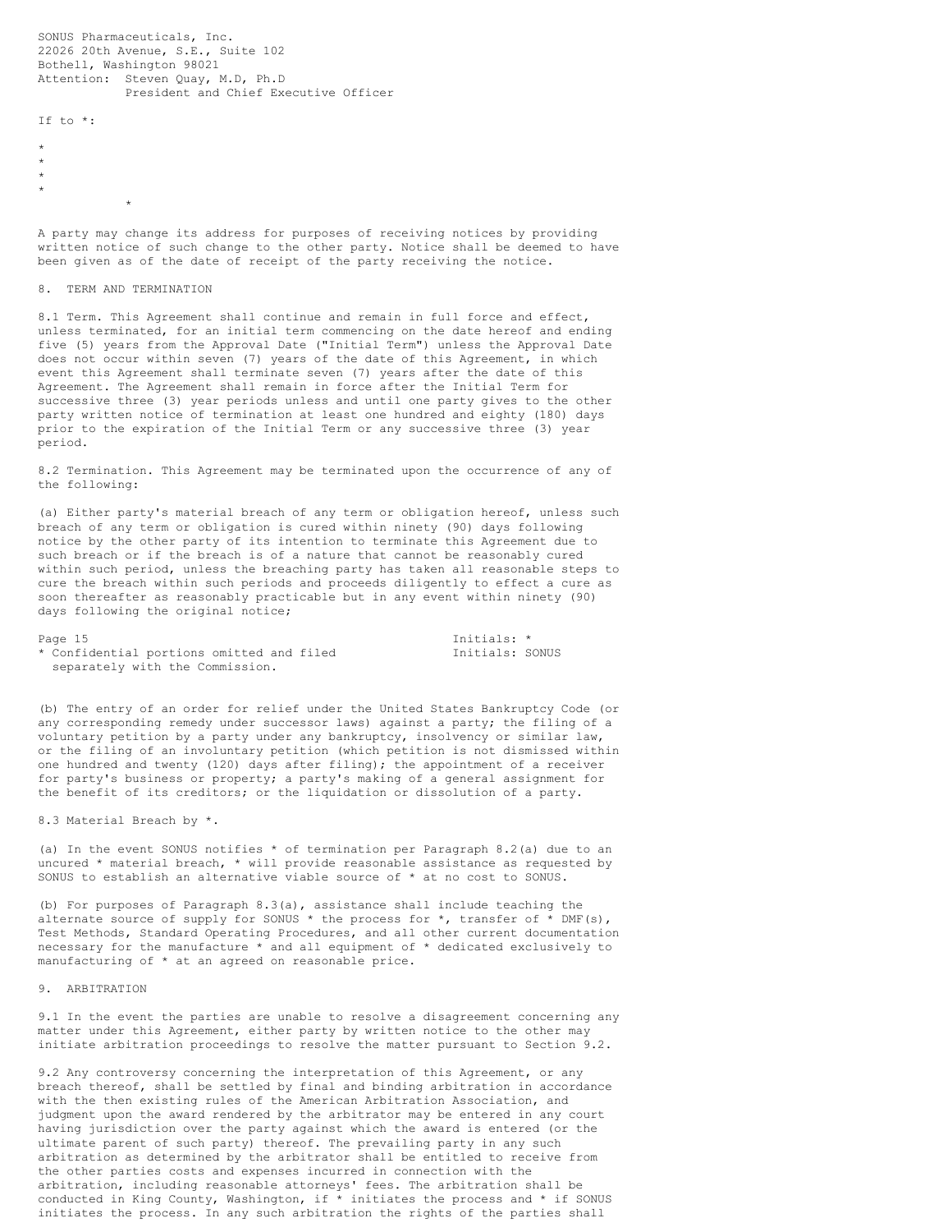SONUS Pharmaceuticals, Inc. 22026 20th Avenue, S.E., Suite 102 Bothell, Washington 98021 Attention: Steven Quay, M.D, Ph.D President and Chief Executive Officer

If to \*:

- \*
- \* \*
- \*
	-

A party may change its address for purposes of receiving notices by providing written notice of such change to the other party. Notice shall be deemed to have been given as of the date of receipt of the party receiving the notice.

# 8. TERM AND TERMINATION

\*

8.1 Term. This Agreement shall continue and remain in full force and effect, unless terminated, for an initial term commencing on the date hereof and ending five (5) years from the Approval Date ("Initial Term") unless the Approval Date does not occur within seven (7) years of the date of this Agreement, in which event this Agreement shall terminate seven (7) years after the date of this Agreement. The Agreement shall remain in force after the Initial Term for successive three (3) year periods unless and until one party gives to the other party written notice of termination at least one hundred and eighty (180) days prior to the expiration of the Initial Term or any successive three (3) year period.

8.2 Termination. This Agreement may be terminated upon the occurrence of any of the following:

(a) Either party's material breach of any term or obligation hereof, unless such breach of any term or obligation is cured within ninety (90) days following notice by the other party of its intention to terminate this Agreement due to such breach or if the breach is of a nature that cannot be reasonably cured within such period, unless the breaching party has taken all reasonable steps to cure the breach within such periods and proceeds diligently to effect a cure as soon thereafter as reasonably practicable but in any event within ninety (90) days following the original notice;

| Page 15                                   | Initials: * |
|-------------------------------------------|-------------|
| * Confidential portions omitted and filed | Initials: S |
| separately with the Commission.           |             |

Initials: SONUS

(b) The entry of an order for relief under the United States Bankruptcy Code (or any corresponding remedy under successor laws) against a party; the filing of a voluntary petition by a party under any bankruptcy, insolvency or similar law, or the filing of an involuntary petition (which petition is not dismissed within one hundred and twenty (120) days after filing); the appointment of a receiver for party's business or property; a party's making of a general assignment for the benefit of its creditors; or the liquidation or dissolution of a party.

8.3 Material Breach by \*.

(a) In the event SONUS notifies \* of termination per Paragraph 8.2(a) due to an uncured  $*$  material breach,  $*$  will provide reasonable assistance as requested by SONUS to establish an alternative viable source of \* at no cost to SONUS.

(b) For purposes of Paragraph 8.3(a), assistance shall include teaching the alternate source of supply for SONUS  $*$  the process for  $*$ , transfer of  $*$  DMF(s), Test Methods, Standard Operating Procedures, and all other current documentation necessary for the manufacture \* and all equipment of \* dedicated exclusively to manufacturing of \* at an agreed on reasonable price.

#### 9. ARBITRATION

9.1 In the event the parties are unable to resolve a disagreement concerning any matter under this Agreement, either party by written notice to the other may initiate arbitration proceedings to resolve the matter pursuant to Section 9.2.

9.2 Any controversy concerning the interpretation of this Agreement, or any breach thereof, shall be settled by final and binding arbitration in accordance with the then existing rules of the American Arbitration Association, and judgment upon the award rendered by the arbitrator may be entered in any court having jurisdiction over the party against which the award is entered (or the ultimate parent of such party) thereof. The prevailing party in any such arbitration as determined by the arbitrator shall be entitled to receive from the other parties costs and expenses incurred in connection with the arbitration, including reasonable attorneys' fees. The arbitration shall be conducted in King County, Washington, if \* initiates the process and \* if SONUS initiates the process. In any such arbitration the rights of the parties shall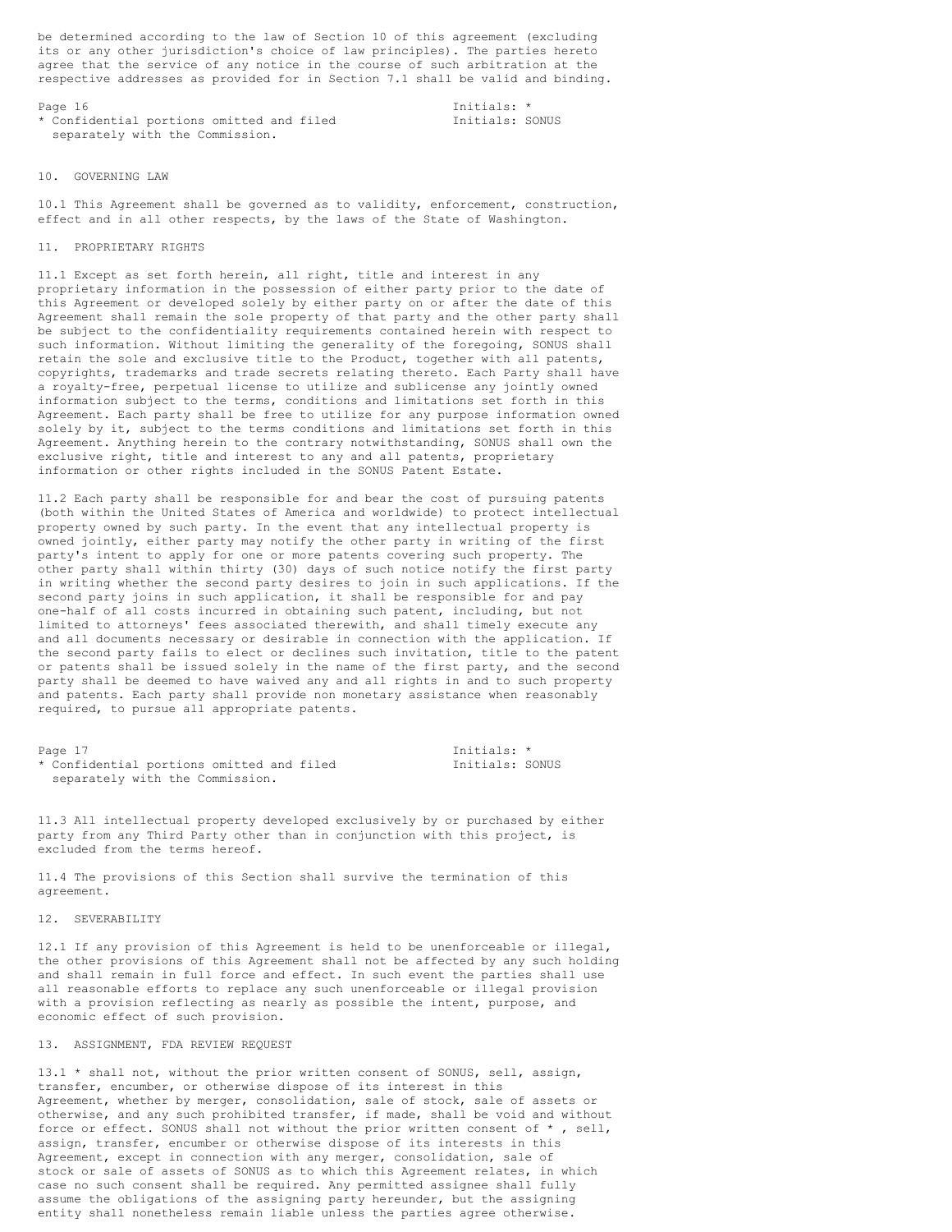be determined according to the law of Section 10 of this agreement (excluding its or any other jurisdiction's choice of law principles). The parties hereto agree that the service of any notice in the course of such arbitration at the respective addresses as provided for in Section 7.1 shall be valid and binding.

Page 16 Initials: \* \* Confidential portions omitted and filed Initials: SONUS separately with the Commission.

# 10. GOVERNING LAW

10.1 This Agreement shall be governed as to validity, enforcement, construction, effect and in all other respects, by the laws of the State of Washington.

## 11. PROPRIETARY RIGHTS

11.1 Except as set forth herein, all right, title and interest in any proprietary information in the possession of either party prior to the date of this Agreement or developed solely by either party on or after the date of this Agreement shall remain the sole property of that party and the other party shall be subject to the confidentiality requirements contained herein with respect to such information. Without limiting the generality of the foregoing, SONUS shall retain the sole and exclusive title to the Product, together with all patents, copyrights, trademarks and trade secrets relating thereto. Each Party shall have a royalty-free, perpetual license to utilize and sublicense any jointly owned information subject to the terms, conditions and limitations set forth in this Agreement. Each party shall be free to utilize for any purpose information owned solely by it, subject to the terms conditions and limitations set forth in this Agreement. Anything herein to the contrary notwithstanding, SONUS shall own the exclusive right, title and interest to any and all patents, proprietary information or other rights included in the SONUS Patent Estate.

11.2 Each party shall be responsible for and bear the cost of pursuing patents (both within the United States of America and worldwide) to protect intellectual property owned by such party. In the event that any intellectual property is owned jointly, either party may notify the other party in writing of the first party's intent to apply for one or more patents covering such property. The other party shall within thirty (30) days of such notice notify the first party in writing whether the second party desires to join in such applications. If the second party joins in such application, it shall be responsible for and pay one-half of all costs incurred in obtaining such patent, including, but not limited to attorneys' fees associated therewith, and shall timely execute any and all documents necessary or desirable in connection with the application. If the second party fails to elect or declines such invitation, title to the patent or patents shall be issued solely in the name of the first party, and the second party shall be deemed to have waived any and all rights in and to such property and patents. Each party shall provide non monetary assistance when reasonably required, to pursue all appropriate patents.

| Page 17                                   | Tnitials: *     |  |
|-------------------------------------------|-----------------|--|
| * Confidential portions omitted and filed | Initials: SONUS |  |
| separately with the Commission.           |                 |  |

11.3 All intellectual property developed exclusively by or purchased by either party from any Third Party other than in conjunction with this project, is excluded from the terms hereof.

11.4 The provisions of this Section shall survive the termination of this agreement.

#### 12. SEVERABILITY

12.1 If any provision of this Agreement is held to be unenforceable or illegal, the other provisions of this Agreement shall not be affected by any such holding and shall remain in full force and effect. In such event the parties shall use all reasonable efforts to replace any such unenforceable or illegal provision with a provision reflecting as nearly as possible the intent, purpose, and economic effect of such provision.

# 13. ASSIGNMENT, FDA REVIEW REQUEST

13.1 \* shall not, without the prior written consent of SONUS, sell, assign, transfer, encumber, or otherwise dispose of its interest in this Agreement, whether by merger, consolidation, sale of stock, sale of assets or otherwise, and any such prohibited transfer, if made, shall be void and without force or effect. SONUS shall not without the prior written consent of \* , sell, assign, transfer, encumber or otherwise dispose of its interests in this Agreement, except in connection with any merger, consolidation, sale of stock or sale of assets of SONUS as to which this Agreement relates, in which case no such consent shall be required. Any permitted assignee shall fully assume the obligations of the assigning party hereunder, but the assigning entity shall nonetheless remain liable unless the parties agree otherwise.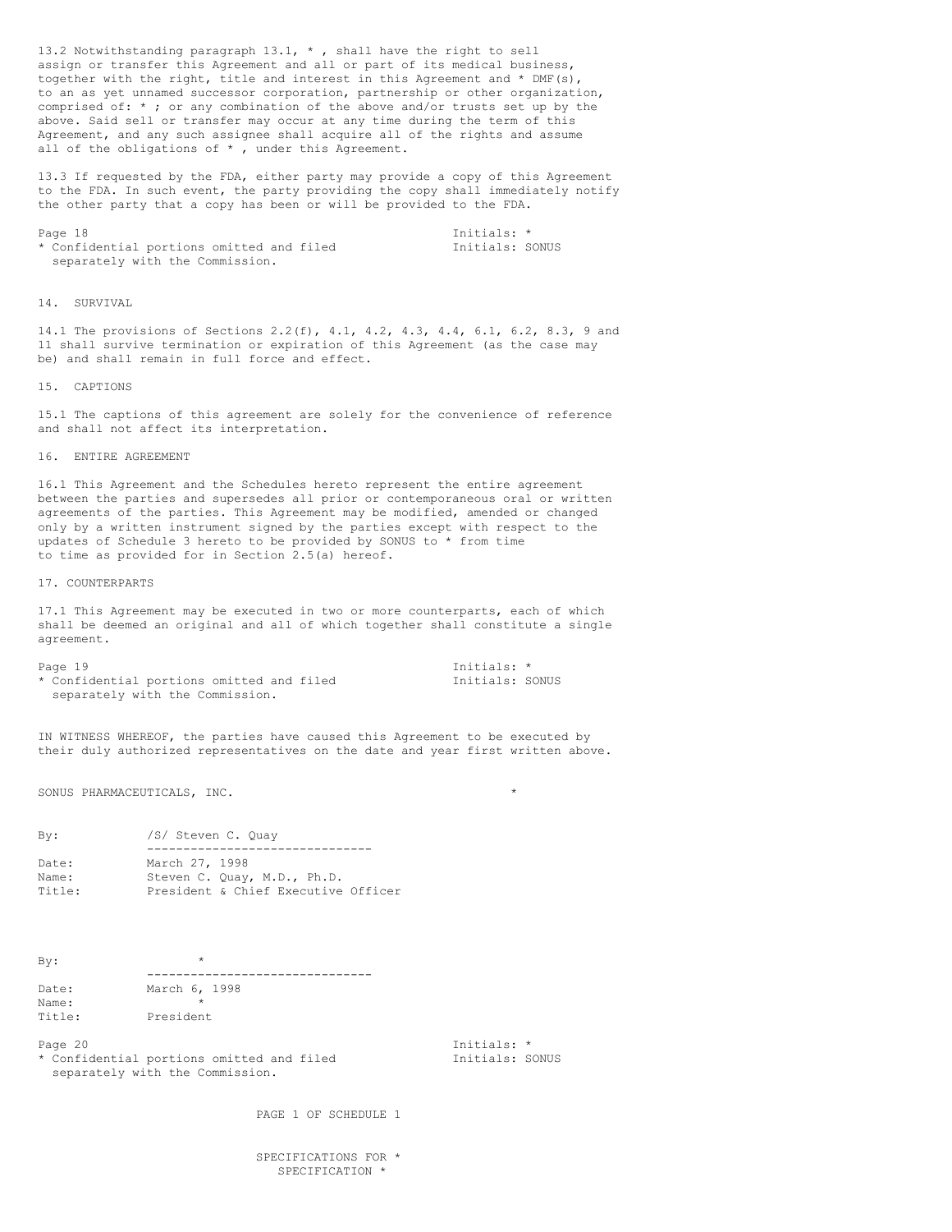13.2 Notwithstanding paragraph 13.1, \* , shall have the right to sell assign or transfer this Agreement and all or part of its medical business, together with the right, title and interest in this Agreement and  $*$  DMF(s), to an as yet unnamed successor corporation, partnership or other organization, comprised of: \* ; or any combination of the above and/or trusts set up by the above. Said sell or transfer may occur at any time during the term of this Agreement, and any such assignee shall acquire all of the rights and assume all of the obligations of  $*$  , under this Agreement.

13.3 If requested by the FDA, either party may provide a copy of this Agreement to the FDA. In such event, the party providing the copy shall immediately notify the other party that a copy has been or will be provided to the FDA.

Page 18 Initials: \*<br>
\* Confidential portions omitted and filed  $\overline{ }$  Initials: SONUS Confidential portions omitted and filed separately with the Commission.

# 14. SURVIVAL

14.1 The provisions of Sections 2.2(f), 4.1, 4.2, 4.3, 4.4, 6.1, 6.2, 8.3, 9 and 11 shall survive termination or expiration of this Agreement (as the case may be) and shall remain in full force and effect.

# 15. CAPTIONS

15.1 The captions of this agreement are solely for the convenience of reference and shall not affect its interpretation.

#### 16. ENTIRE AGREEMENT

16.1 This Agreement and the Schedules hereto represent the entire agreement between the parties and supersedes all prior or contemporaneous oral or written agreements of the parties. This Agreement may be modified, amended or changed only by a written instrument signed by the parties except with respect to the updates of Schedule 3 hereto to be provided by SONUS to \* from time to time as provided for in Section 2.5(a) hereof.

#### 17. COUNTERPARTS

17.1 This Agreement may be executed in two or more counterparts, each of which shall be deemed an original and all of which together shall constitute a single agreement.

Page 19 Initials: \* \* Confidential portions omitted and filed Initials: SONUS separately with the Commission.

IN WITNESS WHEREOF, the parties have caused this Agreement to be executed by their duly authorized representatives on the date and year first written above.

SONUS PHARMACEUTICALS, INC. \*

| Bv:    | /S/ Steven C. Ouay                  |
|--------|-------------------------------------|
|        |                                     |
| Date:  | March 27, 1998                      |
| Name:  | Steven C. Quay, M.D., Ph.D.         |
| Title: | President & Chief Executive Officer |

 $By:$ ------------------------------- Date: March 6, 1998 Name: Title: President

\* Confidential portions omitted and filed Tnitials: SONUS separately with the Commission.

Page 20 Initials:  $\star$ 

PAGE 1 OF SCHEDULE 1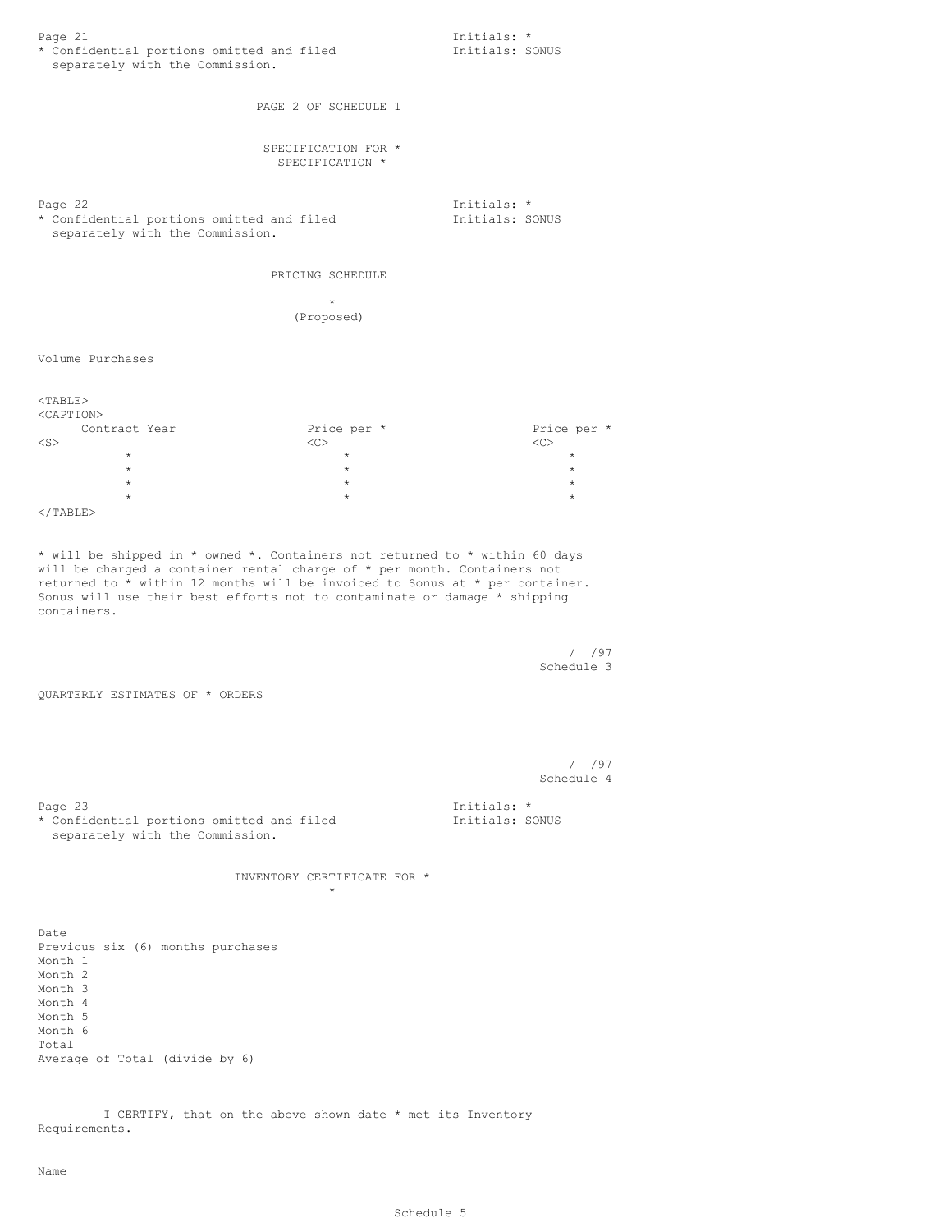| separately with the Commission.                                                                                                                                                                                                                                                                                        | * Confidential portions omitted and filed | Initials: *<br>Initials: SONUS |  |
|------------------------------------------------------------------------------------------------------------------------------------------------------------------------------------------------------------------------------------------------------------------------------------------------------------------------|-------------------------------------------|--------------------------------|--|
|                                                                                                                                                                                                                                                                                                                        | PAGE 2 OF SCHEDULE 1                      |                                |  |
|                                                                                                                                                                                                                                                                                                                        | SPECIFICATION FOR *<br>SPECIFICATION *    |                                |  |
| Page 22<br>* Confidential portions omitted and filed<br>separately with the Commission.                                                                                                                                                                                                                                |                                           | Initials: *<br>Initials: SONUS |  |
|                                                                                                                                                                                                                                                                                                                        | PRICING SCHEDULE                          |                                |  |
|                                                                                                                                                                                                                                                                                                                        | $\star$<br>(Proposed)                     |                                |  |
| Volume Purchases                                                                                                                                                                                                                                                                                                       |                                           |                                |  |
| $<$ TABLE $>$<br><caption></caption>                                                                                                                                                                                                                                                                                   |                                           |                                |  |
| Contract Year<br>$<$ S $>$                                                                                                                                                                                                                                                                                             | Price per *<br><<                         | Price per *<br><<>             |  |
| $\star$<br>$\star$                                                                                                                                                                                                                                                                                                     | $\star$<br>$\star$                        | $\star$<br>$\star$             |  |
| $\star$                                                                                                                                                                                                                                                                                                                | $\star$                                   | $\star$                        |  |
| $\star$                                                                                                                                                                                                                                                                                                                | $\star$                                   | $\star$                        |  |
| $\langle$ /TABLE>                                                                                                                                                                                                                                                                                                      |                                           |                                |  |
| * will be shipped in * owned *. Containers not returned to * within 60 days<br>will be charged a container rental charge of $*$ per month. Containers not<br>returned to * within 12 months will be invoiced to Sonus at * per container.<br>Sonus will use their best efforts not to contaminate or damage * shipping |                                           |                                |  |
| containers.                                                                                                                                                                                                                                                                                                            |                                           |                                |  |
|                                                                                                                                                                                                                                                                                                                        |                                           | $/$ /97<br>Schedule 3          |  |
| QUARTERLY ESTIMATES OF * ORDERS                                                                                                                                                                                                                                                                                        |                                           |                                |  |
|                                                                                                                                                                                                                                                                                                                        |                                           | $/$ /97                        |  |
|                                                                                                                                                                                                                                                                                                                        |                                           | Schedule 4                     |  |
| Page 23<br>* Confidential portions omitted and filed<br>separately with the Commission.                                                                                                                                                                                                                                |                                           | Initials: *<br>Initials: SONUS |  |
|                                                                                                                                                                                                                                                                                                                        | INVENTORY CERTIFICATE FOR *<br>$\star$    |                                |  |
|                                                                                                                                                                                                                                                                                                                        |                                           |                                |  |
| Date<br>Previous six (6) months purchases<br>Month 1<br>Month 2<br>Month 3<br>Month 4<br>Month 5<br>Month 6<br>Total<br>Average of Total (divide by 6)                                                                                                                                                                 |                                           |                                |  |

I CERTIFY, that on the above shown date \* met its Inventory Requirements.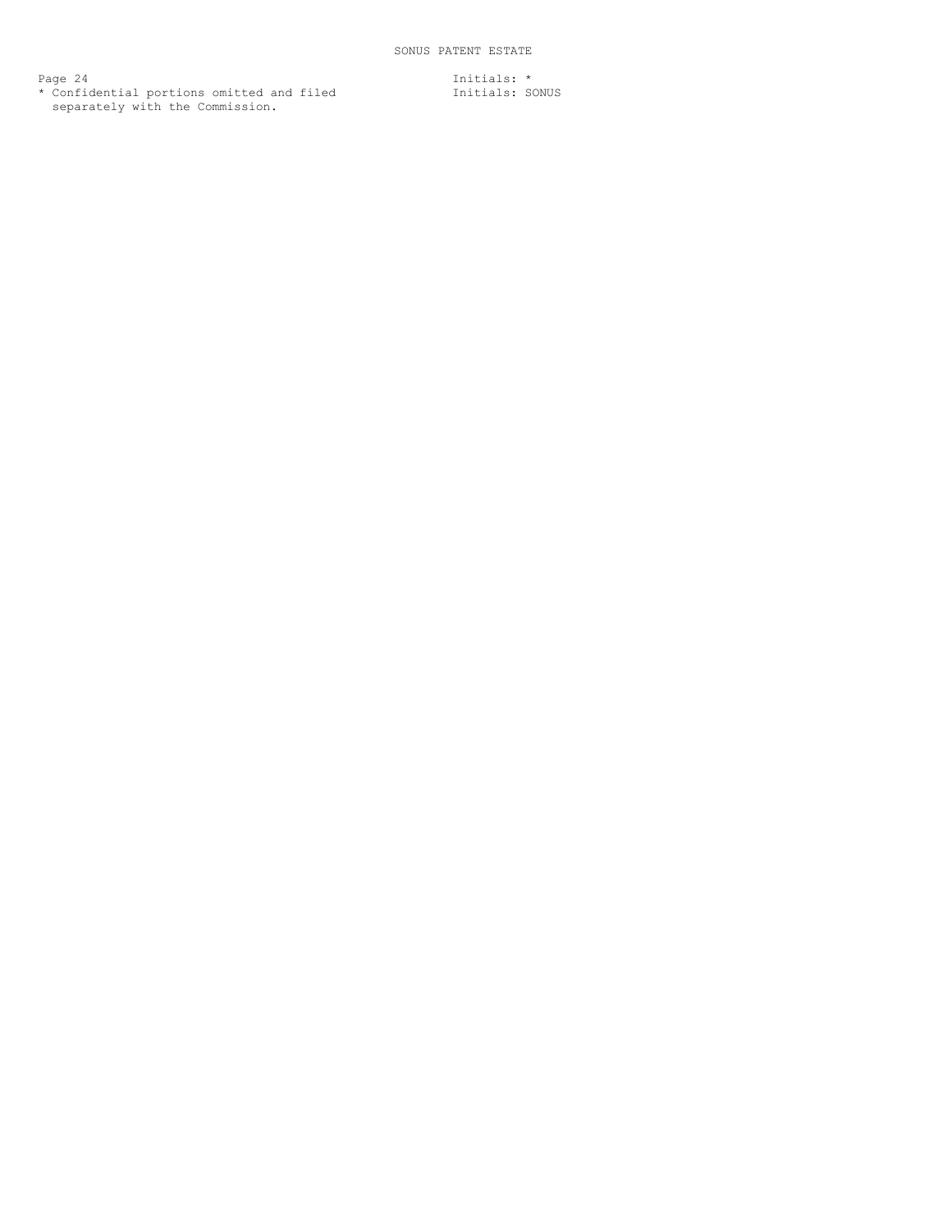Page 24 **Initials:** \* \* Confidential portions omitted and filed Tnitials: SONUS separately with the Commission.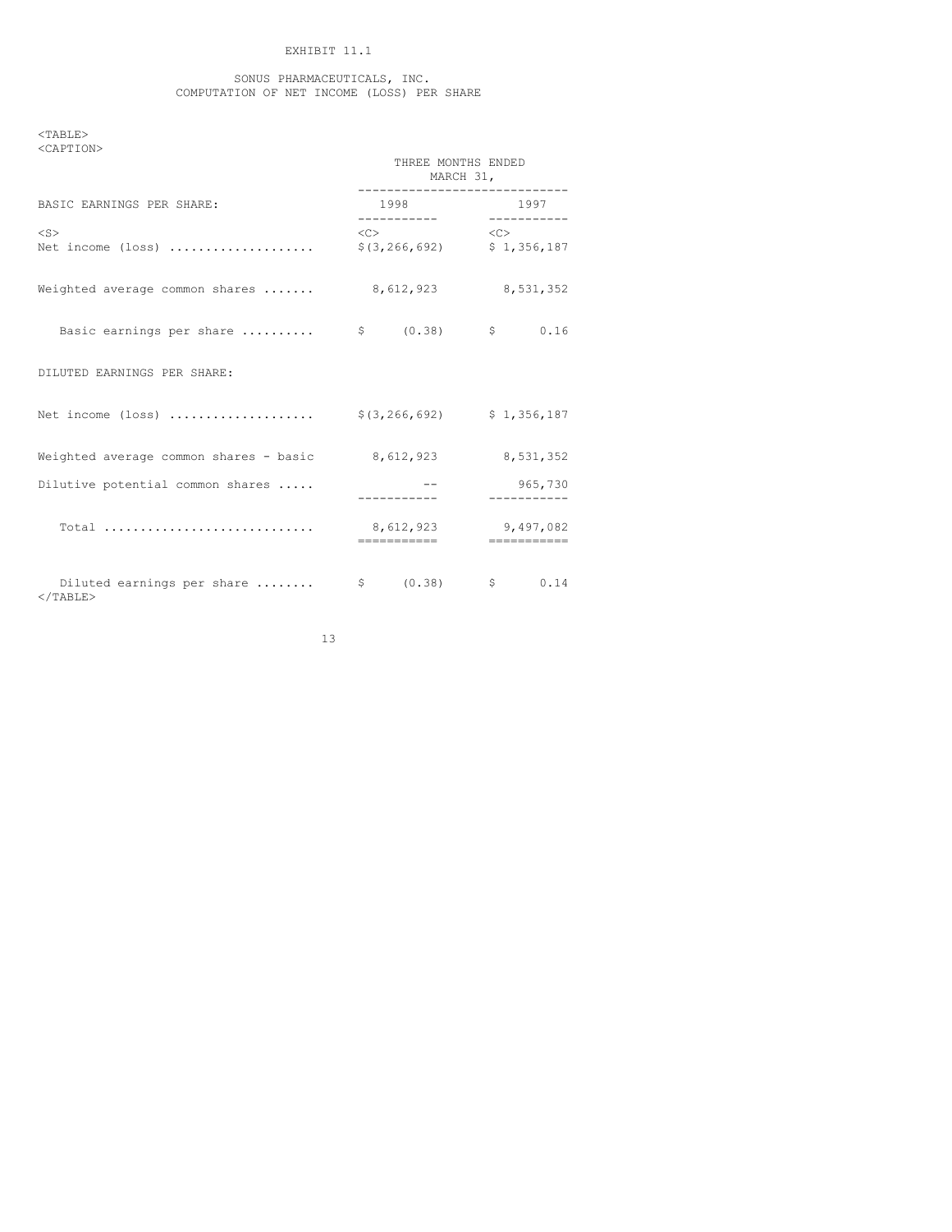# EXHIBIT 11.1

#### SONUS PHARMACEUTICALS, INC. COMPUTATION OF NET INCOME (LOSS) PER SHARE

 $<$ TABLE $>$ <CAPTION>

|                                                              | THREE MONTHS ENDED                 | MARCH 31,                                       |
|--------------------------------------------------------------|------------------------------------|-------------------------------------------------|
| BASIC EARNINGS PER SHARE:                                    |                                    | -----------------------------<br>1998 1997      |
| $<$ S><br>Net income (loss)                                  | $\langle C \rangle$                | $\langle$ C><br>$$(3, 266, 692)$ $$1, 356, 187$ |
| Weighted average common shares  8,612,923 8,531,352          |                                    |                                                 |
| Basic earnings per share $\qquad$ \$ (0.38) $\qquad$ \$ 0.16 |                                    |                                                 |
| DILUTED EARNINGS PER SHARE:                                  |                                    |                                                 |
| Net income (loss)  \$(3,266,692) \$ 1,356,187                |                                    |                                                 |
| Weighted average common shares - basic $8,612,923$           |                                    | 8,531,352                                       |
| Dilutive potential common shares                             |                                    | 965,730                                         |
| Total                                                        | 8,612,923 9,497,082<br>----------- | ------------                                    |
| Diluted earnings per share<br>$<$ /TABLE>                    | $$ 0.38$ \$ $0.14$                 |                                                 |

13